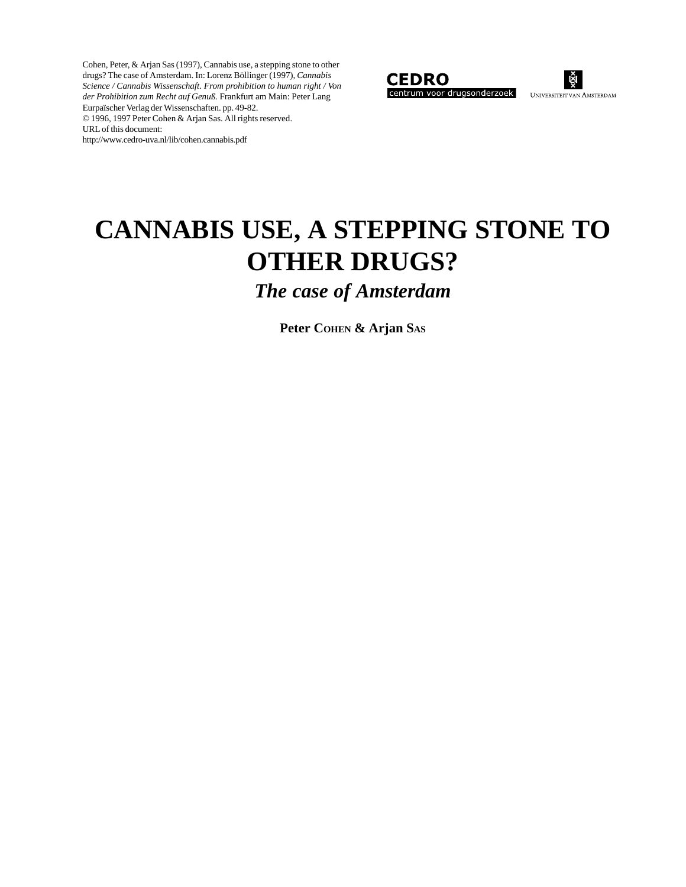Cohen, Peter, & Arjan Sas (1997), Cannabis use, a stepping stone to other drugs? The case of Amsterdam. In: Lorenz Böllinger (1997), *Cannabis Science / Cannabis Wissenschaft. From prohibition to human right / Von der Prohibition zum Recht auf Genuß.* Frankfurt am Main: Peter Lang Eurpaïscher Verlag der Wissenschaften. pp. 49-82. © 1996, 1997 Peter Cohen & Arjan Sas. All rights reserved. URL of this document: http://www.cedro-uva.nl/lib/cohen.cannabis.pdf





# **CANNABIS USE, A STEPPING STONE TO OTHER DRUGS?**

*The case of Amsterdam*

**Peter COHEN & Arjan SAS**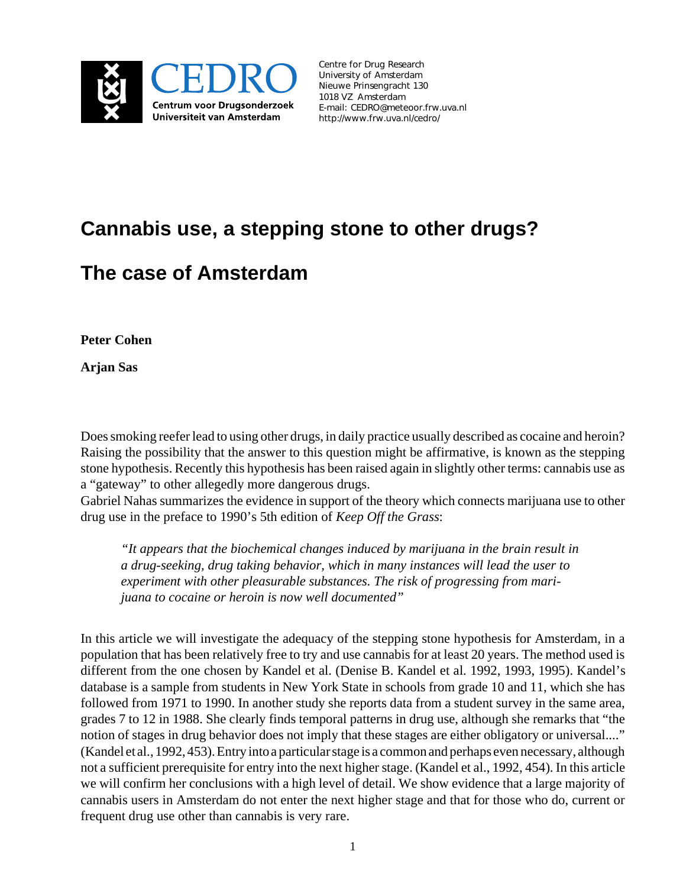

*Centre for Drug Research University of Amsterdam Nieuwe Prinsengracht 130 1018 VZ Amsterdam [E-mail: CEDRO@meteoor.frw.uva.nl](http://www.frw.uva.nl/cedro/) http://www.frw.uva.nl/cedro/*

# **Cannabis use, a stepping stone to other drugs?**

# **The case of Amsterdam**

**Peter Cohen**

**Arjan Sas**

Does smoking reefer lead to using other drugs, in daily practice usually described as cocaine and heroin? Raising the possibility that the answer to this question might be affirmative, is known as the stepping stone hypothesis. Recently this hypothesis has been raised again in slightly other terms: cannabis use as a "gateway" to other allegedly more dangerous drugs.

Gabriel Nahas summarizes the evidence in support of the theory which connects marijuana use to other drug use in the preface to 1990's 5th edition of *Keep Off the Grass*:

*"It appears that the biochemical changes induced by marijuana in the brain result in a drug-seeking, drug taking behavior, which in many instances will lead the user to experiment with other pleasurable substances. The risk of progressing from marijuana to cocaine or heroin is now well documented"*

In this article we will investigate the adequacy of the stepping stone hypothesis for Amsterdam, in a population that has been relatively free to try and use cannabis for at least 20 years. The method used is different from the one chosen by Kandel et al. (Denise B. Kandel et al. 1992, 1993, 1995). Kandel's database is a sample from students in New York State in schools from grade 10 and 11, which she has followed from 1971 to 1990. In another study she reports data from a student survey in the same area, grades 7 to 12 in 1988. She clearly finds temporal patterns in drug use, although she remarks that "the notion of stages in drug behavior does not imply that these stages are either obligatory or universal...." (Kandel et al., 1992, 453). Entry into a particular stage is a common and perhaps even necessary, although not a sufficient prerequisite for entry into the next higher stage. (Kandel et al., 1992, 454). In this article we will confirm her conclusions with a high level of detail. We show evidence that a large majority of cannabis users in Amsterdam do not enter the next higher stage and that for those who do, current or frequent drug use other than cannabis is very rare.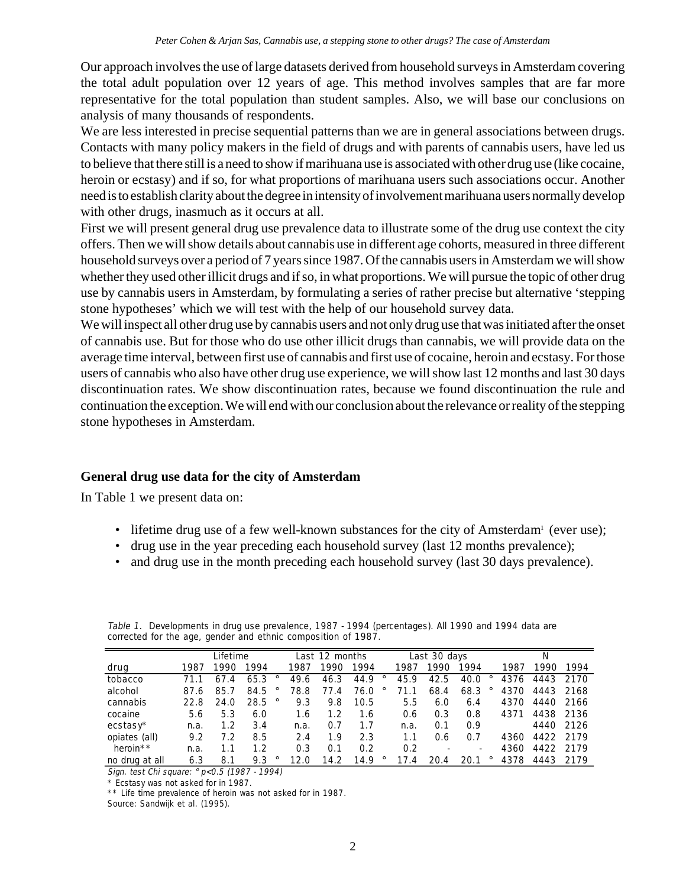Our approach involves the use of large datasets derived from household surveys in Amsterdam covering the total adult population over 12 years of age. This method involves samples that are far more representative for the total population than student samples. Also, we will base our conclusions on analysis of many thousands of respondents.

We are less interested in precise sequential patterns than we are in general associations between drugs. Contacts with many policy makers in the field of drugs and with parents of cannabis users, have led us to believe that there still is a need to show if marihuana use is associated with other drug use (like cocaine, heroin or ecstasy) and if so, for what proportions of marihuana users such associations occur. Another need is to establish clarity about the degree in intensity of involvement marihuana users normally develop with other drugs, inasmuch as it occurs at all.

First we will present general drug use prevalence data to illustrate some of the drug use context the city offers. Then we will show details about cannabis use in different age cohorts, measured in three different household surveys over a period of 7 years since 1987. Of the cannabis users in Amsterdam we will show whether they used other illicit drugs and if so, in what proportions. We will pursue the topic of other drug use by cannabis users in Amsterdam, by formulating a series of rather precise but alternative 'stepping stone hypotheses' which we will test with the help of our household survey data.

We will inspect all other drug use by cannabis users and not only drug use that was initiated after the onset of cannabis use. But for those who do use other illicit drugs than cannabis, we will provide data on the average time interval, between first use of cannabis and first use of cocaine, heroin and ecstasy. For those users of cannabis who also have other drug use experience, we will show last 12 months and last 30 days discontinuation rates. We show discontinuation rates, because we found discontinuation the rule and continuation the exception. We will end with our conclusion about the relevance or reality of the stepping stone hypotheses in Amsterdam.

# **General drug use data for the city of Amsterdam**

In Table 1 we present data on:

- lifetime drug use of a few well-known substances for the city of Amsterdam<sup>1</sup> (ever use);
- drug use in the year preceding each household survey (last 12 months prevalence);
- and drug use in the month preceding each household survey (last 30 days prevalence).

|                | Lifetime |         |                 |      | Last 12 months |      |         |                       | Last 30 days |                          |      | N    |      |
|----------------|----------|---------|-----------------|------|----------------|------|---------|-----------------------|--------------|--------------------------|------|------|------|
| drug           | 1987     | 1990    | 1994            | 1987 | 1990           | 1994 |         | 1987                  | 1990         | 1994                     | 1987 | 1990 | 1994 |
| tobacco        |          | 67<br>4 | 65.3<br>$\circ$ | 49.6 | 46.3           | 44.9 | $\circ$ | 45.9                  | 42.5         | 40.0                     | 4376 | 4443 | 2170 |
| alcohol        | 87.6     | 85.7    | 84.5            | 78.8 | 77.4           | 76.0 |         | 71.1                  | 68.4         | 68.3                     | 4370 | 4443 | 2168 |
| cannabis       | 22.8     | 24.0    | 28.5            | 9.3  | 9.8            | 10.5 |         | 5.5                   | 6.0          | 6.4                      | 4370 | 4440 | 2166 |
| cocaine        | 5.6      | 5.3     | 6.0             | 1.6  | 1.2            | 1.6  |         | 0.6                   | 0.3          | 0.8                      | 4371 | 4438 | 2136 |
| ecstasy*       | n.a.     | 1.2     | 3.4             | n.a. | 0.7            | 1.7  |         | n.a.                  | 0.1          | 0.9                      |      | 4440 | 2126 |
| opiates (all)  | 9.2      | 7.2     | 8.5             | 2.4  | 1.9            | 2.3  |         | 1.1                   | 0.6          | 0.7                      | 4360 | 4422 | 2179 |
| heroin**       | n.a.     |         | 1.2             | 0.3  | 0.1            | 0.2  |         | 0.2                   |              | $\overline{\phantom{a}}$ | 4360 | 4422 | 2179 |
| no drug at all | 6.3      | 8.1     | $\circ$<br>9.3  | 12.0 | 14.2           | 14.9 | $\circ$ | 17.<br>$\overline{4}$ | 20.4         | 20.1                     | 4378 | 4443 | 2179 |

Table 1. Developments in drug use prevalence, 1987 - 1994 (percentages). All 1990 and 1994 data are corrected for the age, gender and ethnic composition of 1987.

Sign. test Chi square: ° p<0.5 (1987 - 1994)

\* Ecstasy was not asked for in 1987.

\*\* Life time prevalence of heroin was not asked for in 1987.

Source: Sandwijk et al. (1995).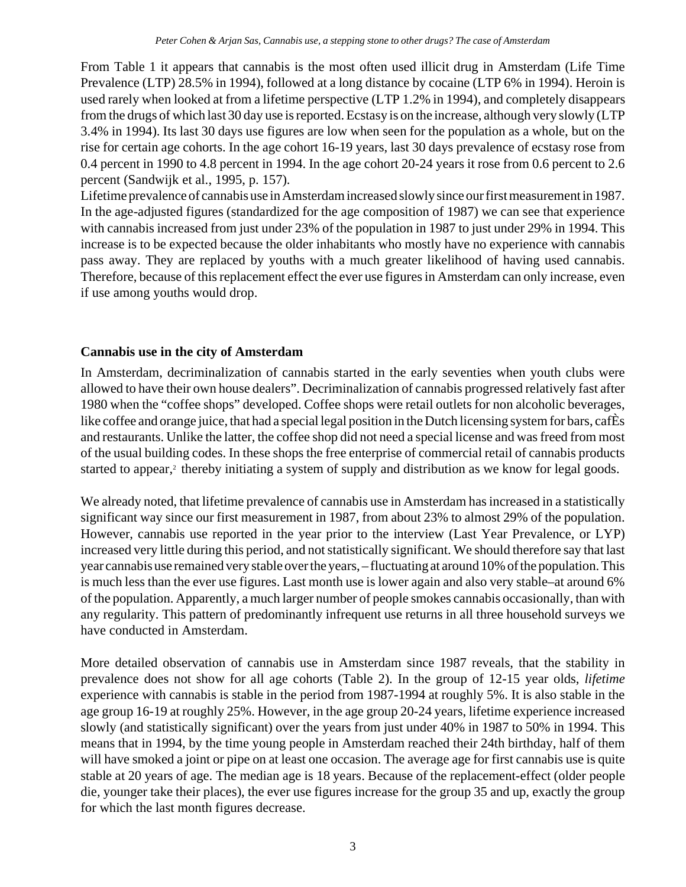From Table 1 it appears that cannabis is the most often used illicit drug in Amsterdam (Life Time Prevalence (LTP) 28.5% in 1994), followed at a long distance by cocaine (LTP 6% in 1994). Heroin is used rarely when looked at from a lifetime perspective (LTP 1.2% in 1994), and completely disappears from the drugs of which last 30 day use is reported. Ecstasy is on the increase, although very slowly (LTP 3.4% in 1994). Its last 30 days use figures are low when seen for the population as a whole, but on the rise for certain age cohorts. In the age cohort 16-19 years, last 30 days prevalence of ecstasy rose from 0.4 percent in 1990 to 4.8 percent in 1994. In the age cohort 20-24 years it rose from 0.6 percent to 2.6 percent (Sandwijk et al., 1995, p. 157).

Lifetime prevalence of cannabis use in Amsterdam increased slowly since our first measurement in 1987. In the age-adjusted figures (standardized for the age composition of 1987) we can see that experience with cannabis increased from just under 23% of the population in 1987 to just under 29% in 1994. This increase is to be expected because the older inhabitants who mostly have no experience with cannabis pass away. They are replaced by youths with a much greater likelihood of having used cannabis. Therefore, because of this replacement effect the ever use figures in Amsterdam can only increase, even if use among youths would drop.

# **Cannabis use in the city of Amsterdam**

In Amsterdam, decriminalization of cannabis started in the early seventies when youth clubs were allowed to have their own house dealers". Decriminalization of cannabis progressed relatively fast after 1980 when the "coffee shops" developed. Coffee shops were retail outlets for non alcoholic beverages, like coffee and orange juice, that had a special legal position in the Dutch licensing system for bars, cafÈs and restaurants. Unlike the latter, the coffee shop did not need a special license and was freed from most of the usual building codes. In these shops the free enterprise of commercial retail of cannabis products started to appear,<sup>2</sup> thereby initiating a system of supply and distribution as we know for legal goods.

We already noted, that lifetime prevalence of cannabis use in Amsterdam has increased in a statistically significant way since our first measurement in 1987, from about 23% to almost 29% of the population. However, cannabis use reported in the year prior to the interview (Last Year Prevalence, or LYP) increased very little during this period, and not statistically significant. We should therefore say that last year cannabis use remained very stable over the years, – fluctuating at around 10% of the population. This is much less than the ever use figures. Last month use is lower again and also very stable–at around 6% of the population. Apparently, a much larger number of people smokes cannabis occasionally, than with any regularity. This pattern of predominantly infrequent use returns in all three household surveys we have conducted in Amsterdam.

More detailed observation of cannabis use in Amsterdam since 1987 reveals, that the stability in prevalence does not show for all age cohorts (Table 2). In the group of 12-15 year olds, *lifetime* experience with cannabis is stable in the period from 1987-1994 at roughly 5%. It is also stable in the age group 16-19 at roughly 25%. However, in the age group 20-24 years, lifetime experience increased slowly (and statistically significant) over the years from just under 40% in 1987 to 50% in 1994. This means that in 1994, by the time young people in Amsterdam reached their 24th birthday, half of them will have smoked a joint or pipe on at least one occasion. The average age for first cannabis use is quite stable at 20 years of age. The median age is 18 years. Because of the replacement-effect (older people die, younger take their places), the ever use figures increase for the group 35 and up, exactly the group for which the last month figures decrease.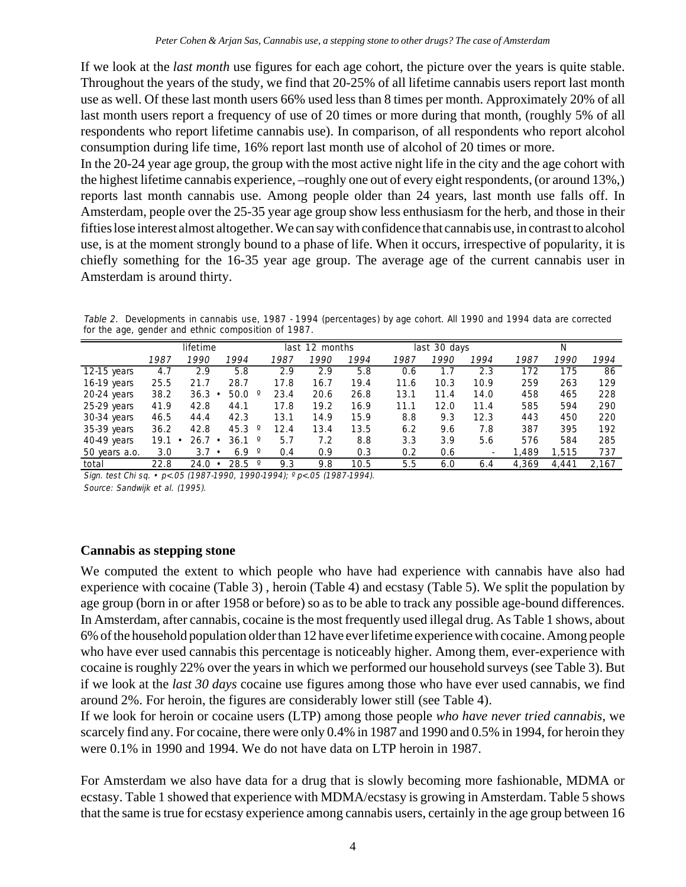If we look at the *last month* use figures for each age cohort, the picture over the years is quite stable. Throughout the years of the study, we find that 20-25% of all lifetime cannabis users report last month use as well. Of these last month users 66% used less than 8 times per month. Approximately 20% of all last month users report a frequency of use of 20 times or more during that month, (roughly 5% of all respondents who report lifetime cannabis use). In comparison, of all respondents who report alcohol consumption during life time, 16% report last month use of alcohol of 20 times or more.

In the 20-24 year age group, the group with the most active night life in the city and the age cohort with the highest lifetime cannabis experience, –roughly one out of every eight respondents, (or around 13%,) reports last month cannabis use. Among people older than 24 years, last month use falls off. In Amsterdam, people over the 25-35 year age group show less enthusiasm for the herb, and those in their fifties lose interest almost altogether. We can say with confidence that cannabis use, in contrast to alcohol use, is at the moment strongly bound to a phase of life. When it occurs, irrespective of popularity, it is chiefly something for the 16-35 year age group. The average age of the current cannabis user in Amsterdam is around thirty.

Table 2. Developments in cannabis use, 1987 - 1994 (percentages) by age cohort. All 1990 and 1994 data are corrected for the age, gender and ethnic composition of 1987.

|               | lifetime |      |                                |      | last 12 months |      |      | last 30 days |      |       | N     |       |
|---------------|----------|------|--------------------------------|------|----------------|------|------|--------------|------|-------|-------|-------|
|               | 1987     | 1990 | 1994                           | 1987 | 1990           | 1994 | 1987 | 1990         | 1994 | 1987  | 1990  | 1994  |
| 12-15 years   | 4.7      | 2.9  | 5.8                            | 2.9  | 2.9            | 5.8  | 0.6  |              | 2.3  | 172   | 175   | 86    |
| 16-19 years   | 25.5     | 21.7 | 28.7                           | 17.8 | 16.7           | 19.4 | 11.6 | 10.3         | 10.9 | 259   | 263   | 129   |
| $20-24$ years | 38.2     | 36.3 | 50.0<br>٠                      | 23.4 | 20.6           | 26.8 | 13.1 | 11.4         | 14.0 | 458   | 465   | 228   |
| 25-29 years   | 41.9     | 42.8 | 44.1                           | 17.8 | 19.2           | 16.9 | 11.1 | 12.0         | 11.4 | 585   | 594   | 290   |
| $30-34$ years | 46.5     | 44.4 | 42.3                           | 13.1 | 14.9           | 15.9 | 8.8  | 9.3          | 12.3 | 443   | 450   | 220   |
| 35-39 years   | 36.2     | 42.8 | 45.3<br>$\circ$                | 12.4 | 13.4           | 13.5 | 6.2  | 9.6          | 7.8  | 387   | 395   | 192   |
| 40-49 years   | 19.1     | 26.7 | $36.1$ $^{\circ}$<br>$\bullet$ | 5.7  | 7.2            | 8.8  | 3.3  | 3.9          | 5.6  | 576   | 584   | 285   |
| 50 years a.o. | 3.0      | 3.7  | 6.9<br>$\circ$<br>$\bullet$    | 0.4  | 0.9            | 0.3  | 0.2  | 0.6          |      | 1.489 | .515  | 737   |
| total         | 22.8     | 24.0 | 28.5<br>$\circ$<br>$\bullet$   | 9.3  | 9.8            | 10.5 | 5.5  | 6.0          | 6.4  | 4.369 | 4.441 | 2.167 |

Sign. test Chi sq. • p<.05 (1987-1990, 1990-1994); ° p<.05 (1987-1994). Source: Sandwijk et al. (1995).

### **Cannabis as stepping stone**

We computed the extent to which people who have had experience with cannabis have also had experience with cocaine (Table 3) , heroin (Table 4) and ecstasy (Table 5). We split the population by age group (born in or after 1958 or before) so as to be able to track any possible age-bound differences. In Amsterdam, after cannabis, cocaine is the most frequently used illegal drug. As Table 1 shows, about 6% of the household population older than 12 have ever lifetime experience with cocaine. Among people who have ever used cannabis this percentage is noticeably higher. Among them, ever-experience with cocaine is roughly 22% over the years in which we performed our household surveys (see Table 3). But if we look at the *last 30 days* cocaine use figures among those who have ever used cannabis, we find around 2%. For heroin, the figures are considerably lower still (see Table 4).

If we look for heroin or cocaine users (LTP) among those people *who have never tried cannabis*, we scarcely find any. For cocaine, there were only 0.4% in 1987 and 1990 and 0.5% in 1994, for heroin they were 0.1% in 1990 and 1994. We do not have data on LTP heroin in 1987.

For Amsterdam we also have data for a drug that is slowly becoming more fashionable, MDMA or ecstasy. Table 1 showed that experience with MDMA/ecstasy is growing in Amsterdam. Table 5 shows that the same is true for ecstasy experience among cannabis users, certainly in the age group between 16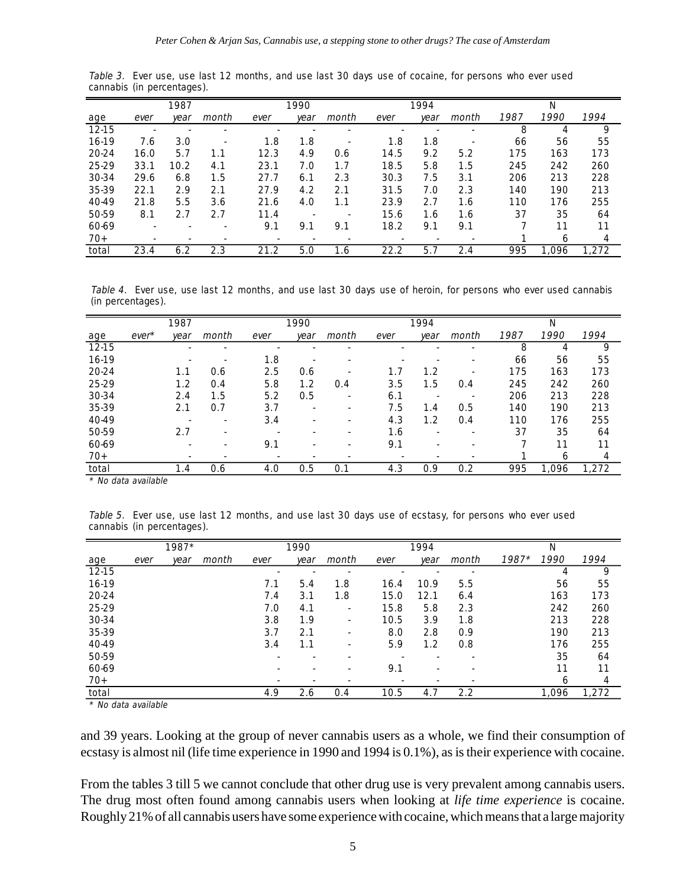|       |      | 1987 |       |      | 1990 |                          |      | 1994 |       |      | N     |       |
|-------|------|------|-------|------|------|--------------------------|------|------|-------|------|-------|-------|
| age   | ever | year | month | ever | year | month                    | ever | year | month | 1987 | 1990  | 1994  |
| 12-15 |      |      |       |      |      |                          |      |      |       | 8    |       | 9     |
| 16-19 | 7.6  | 3.0  |       | 1.8  | 1.8  |                          | 1.8  | 1.8  |       | 66   | 56    | 55    |
| 20-24 | 16.0 | 5.7  | 1.1   | 12.3 | 4.9  | 0.6                      | 14.5 | 9.2  | 5.2   | 175  | 163   | 173   |
| 25-29 | 33.1 | 10.2 | 4.1   | 23.1 | 7.0  | 1.7                      | 18.5 | 5.8  | 1.5   | 245  | 242   | 260   |
| 30-34 | 29.6 | 6.8  | 1.5   | 27.7 | 6.1  | 2.3                      | 30.3 | 7.5  | 3.1   | 206  | 213   | 228   |
| 35-39 | 22.1 | 2.9  | 2.1   | 27.9 | 4.2  | 2.1                      | 31.5 | 7.0  | 2.3   | 140  | 190   | 213   |
| 40-49 | 21.8 | 5.5  | 3.6   | 21.6 | 4.0  | 1.1                      | 23.9 | 2.7  | 1.6   | 110  | 176   | 255   |
| 50-59 | 8.1  | 2.7  | 2.7   | 11.4 |      | $\overline{\phantom{a}}$ | 15.6 | 1.6  | 1.6   | 37   | 35    | 64    |
| 60-69 |      |      |       | 9.1  | 9.1  | 9.1                      | 18.2 | 9.1  | 9.1   |      | 11    | 11    |
| $70+$ |      |      |       |      |      |                          |      |      |       |      | 6     | 4     |
| total | 23.4 | 6.2  | 2.3   | 21.2 | 5.0  | 1.6                      | 22.2 | 5.7  | 2.4   | 995  | 1.096 | 1.272 |

Table 3. Ever use, use last 12 months, and use last 30 days use of cocaine, for persons who ever used cannabis (in percentages).

Table 4. Ever use, use last 12 months, and use last 30 days use of heroin, for persons who ever used cannabis (in percentages).

|       |         | 1987 |       |      | 1990 |                          |      | 1994 |       |      | N            |       |
|-------|---------|------|-------|------|------|--------------------------|------|------|-------|------|--------------|-------|
| age   | $ever*$ | year | month | ever | year | month                    | ever | year | month | 1987 | 1990         | 1994  |
| 12-15 |         |      |       |      |      |                          |      |      |       | 8    |              | 9     |
| 16-19 |         |      | ۰     | 1.8  |      |                          |      |      |       | 66   | 56           | 55    |
| 20-24 |         | 1.1  | 0.6   | 2.5  | 0.6  |                          | 1.7  | 1.2  |       | 175  | 163          | 173   |
| 25-29 |         | 1.2  | O.4   | 5.8  | 1.2  | 0.4                      | 3.5  | 1.5  | 0.4   | 245  | 242          | 260   |
| 30-34 |         | 2.4  | 1.5   | 5.2  | 0.5  | $\overline{\phantom{a}}$ | 6.1  |      |       | 206  | 213          | 228   |
| 35-39 |         | 2.1  | 0.7   | 3.7  |      |                          | 7.5  | 1.4  | 0.5   | 140  | 190          | 213   |
| 40-49 |         | ٠    | ٠     | 3.4  |      |                          | 4.3  | 1.2  | 0.4   | 110  | 176          | 255   |
| 50-59 |         | 2.7  | ۰     |      |      | $\overline{\phantom{a}}$ | 1.6  |      |       | 37   | 35           | 64    |
| 60-69 |         | ٠    | ۰     | 9.1  |      | $\overline{\phantom{a}}$ | 9.1  |      |       |      | 11           | 11    |
| $70+$ |         | ٠    | ۰     |      |      |                          |      |      |       |      | <sub>6</sub> | 4     |
| total |         | 1.4  | 0.6   | 4.0  | 0.5  | 0.1                      | 4.3  | 0.9  | 0.2   | 995  | 1,096        | 1,272 |

\* No data available

Table 5. Ever use, use last 12 months, and use last 30 days use of ecstasy, for persons who ever used cannabis (in percentages).

|       |      | 1987* |       |      | 1990 |                          |      | 1994 |       |         | N     |       |
|-------|------|-------|-------|------|------|--------------------------|------|------|-------|---------|-------|-------|
| age   | ever | year  | month | ever | year | month                    | ever | year | month | $1987*$ | 1990  | 1994  |
| 12-15 |      |       |       |      | ٠    | $\overline{\phantom{a}}$ | ٠    |      |       |         | 4     | 9     |
| 16-19 |      |       |       | 7.1  | 5.4  | 1.8                      | 16.4 | 10.9 | 5.5   |         | 56    | 55    |
| 20-24 |      |       |       | 7.4  | 3.1  | 1.8                      | 15.0 | 12.1 | 6.4   |         | 163   | 173   |
| 25-29 |      |       |       | 7.0  | 4.1  | $\sim$                   | 15.8 | 5.8  | 2.3   |         | 242   | 260   |
| 30-34 |      |       |       | 3.8  | 1.9  | ٠                        | 10.5 | 3.9  | 1.8   |         | 213   | 228   |
| 35-39 |      |       |       | 3.7  | 2.1  |                          | 8.0  | 2.8  | 0.9   |         | 190   | 213   |
| 40-49 |      |       |       | 3.4  | 1.1  | $\overline{\phantom{a}}$ | 5.9  | 1.2  | 0.8   |         | 176   | 255   |
| 50-59 |      |       |       |      |      |                          |      |      | ٠     |         | 35    | 64    |
| 60-69 |      |       |       |      |      |                          | 9.1  |      |       |         | 11    | 11    |
| $70+$ |      |       |       |      |      |                          | ٠    |      |       |         | 6     | 4     |
| total |      |       |       | 4.9  | 2.6  | 0.4                      | 10.5 | 4.7  | 2.2   |         | 1,096 | 1.272 |

\* No data available

and 39 years. Looking at the group of never cannabis users as a whole, we find their consumption of ecstasy is almost nil (life time experience in 1990 and 1994 is 0.1%), as is their experience with cocaine.

From the tables 3 till 5 we cannot conclude that other drug use is very prevalent among cannabis users. The drug most often found among cannabis users when looking at *life time experience* is cocaine. Roughly 21% of all cannabis users have some experience with cocaine, which means that a large majority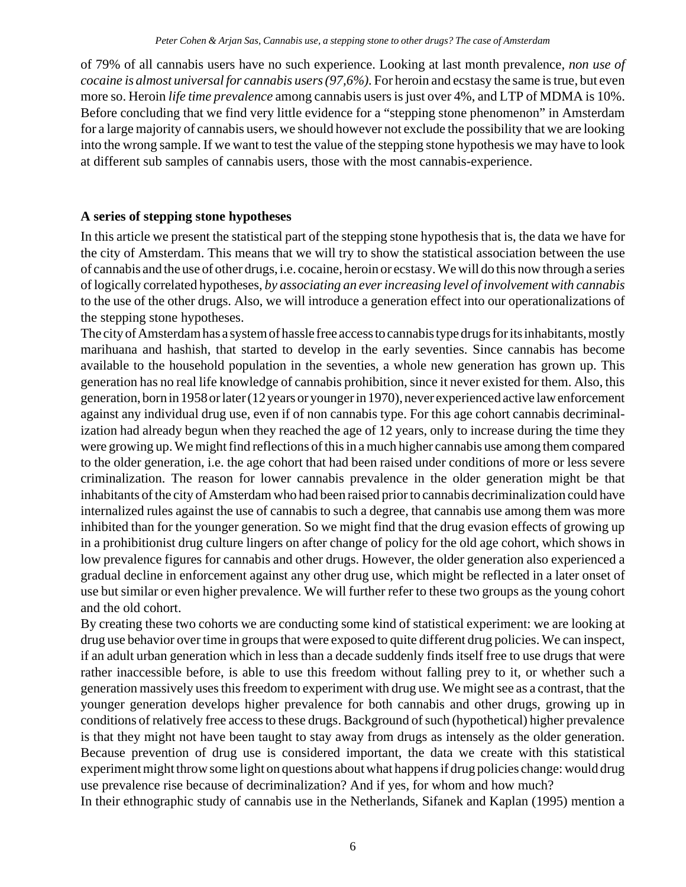of 79% of all cannabis users have no such experience. Looking at last month prevalence*, non use of cocaine is almost universal for cannabis users (97,6%).* For heroin and ecstasy the same is true, but even more so. Heroin *life time prevalence* among cannabis users is just over 4%, and LTP of MDMA is 10%. Before concluding that we find very little evidence for a "stepping stone phenomenon" in Amsterdam for a large majority of cannabis users, we should however not exclude the possibility that we are looking into the wrong sample. If we want to test the value of the stepping stone hypothesis we may have to look at different sub samples of cannabis users, those with the most cannabis-experience.

# **A series of stepping stone hypotheses**

In this article we present the statistical part of the stepping stone hypothesis that is, the data we have for the city of Amsterdam. This means that we will try to show the statistical association between the use of cannabis and the use of other drugs, i.e. cocaine, heroin or ecstasy. We will do this now through a series of logically correlated hypotheses, *by associating an ever increasing level of involvement with cannabis* to the use of the other drugs. Also, we will introduce a generation effect into our operationalizations of the stepping stone hypotheses.

The city of Amsterdam has a system of hassle free access to cannabis type drugs for its inhabitants, mostly marihuana and hashish, that started to develop in the early seventies. Since cannabis has become available to the household population in the seventies, a whole new generation has grown up. This generation has no real life knowledge of cannabis prohibition, since it never existed for them. Also, this generation, born in 1958 or later (12 years or younger in 1970), never experienced active law enforcement against any individual drug use, even if of non cannabis type. For this age cohort cannabis decriminalization had already begun when they reached the age of 12 years, only to increase during the time they were growing up. We might find reflections of this in a much higher cannabis use among them compared to the older generation, i.e. the age cohort that had been raised under conditions of more or less severe criminalization. The reason for lower cannabis prevalence in the older generation might be that inhabitants of the city of Amsterdam who had been raised prior to cannabis decriminalization could have internalized rules against the use of cannabis to such a degree, that cannabis use among them was more inhibited than for the younger generation. So we might find that the drug evasion effects of growing up in a prohibitionist drug culture lingers on after change of policy for the old age cohort, which shows in low prevalence figures for cannabis and other drugs. However, the older generation also experienced a gradual decline in enforcement against any other drug use, which might be reflected in a later onset of use but similar or even higher prevalence. We will further refer to these two groups as the young cohort and the old cohort.

By creating these two cohorts we are conducting some kind of statistical experiment: we are looking at drug use behavior over time in groups that were exposed to quite different drug policies. We can inspect, if an adult urban generation which in less than a decade suddenly finds itself free to use drugs that were rather inaccessible before, is able to use this freedom without falling prey to it, or whether such a generation massively uses this freedom to experiment with drug use. We might see as a contrast, that the younger generation develops higher prevalence for both cannabis and other drugs, growing up in conditions of relatively free access to these drugs. Background of such (hypothetical) higher prevalence is that they might not have been taught to stay away from drugs as intensely as the older generation. Because prevention of drug use is considered important, the data we create with this statistical experiment might throw some light on questions about what happens if drug policies change: would drug use prevalence rise because of decriminalization? And if yes, for whom and how much?

In their ethnographic study of cannabis use in the Netherlands, Sifanek and Kaplan (1995) mention a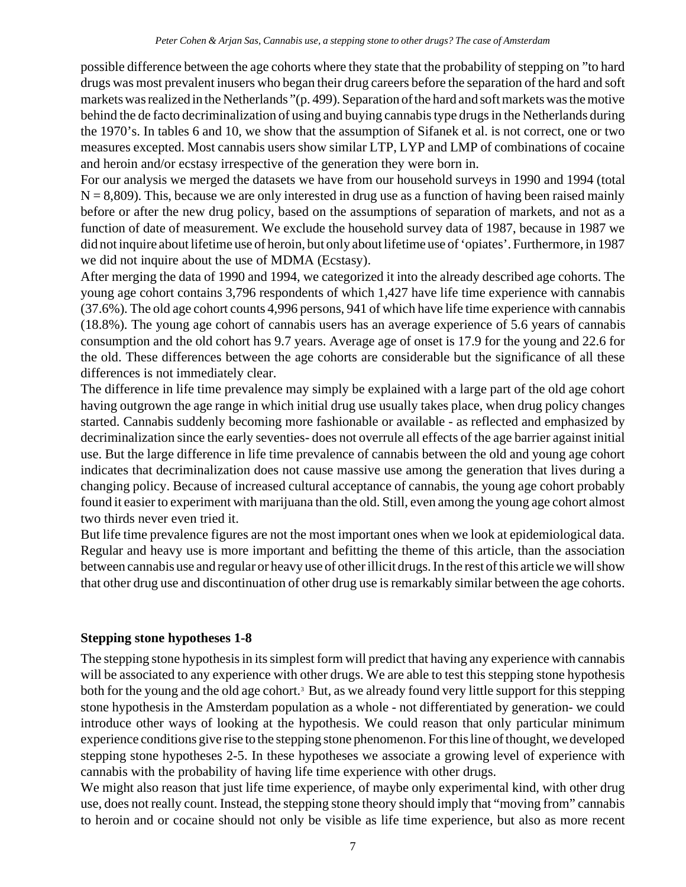possible difference between the age cohorts where they state that the probability of stepping on "to hard drugs was most prevalent inusers who began their drug careers before the separation of the hard and soft markets was realized in the Netherlands "(p. 499). Separation of the hard and soft markets was the motive behind the de facto decriminalization of using and buying cannabis type drugs in the Netherlands during the 1970's. In tables 6 and 10, we show that the assumption of Sifanek et al. is not correct, one or two measures excepted. Most cannabis users show similar LTP, LYP and LMP of combinations of cocaine and heroin and/or ecstasy irrespective of the generation they were born in.

For our analysis we merged the datasets we have from our household surveys in 1990 and 1994 (total  $N = 8,809$ ). This, because we are only interested in drug use as a function of having been raised mainly before or after the new drug policy, based on the assumptions of separation of markets, and not as a function of date of measurement. We exclude the household survey data of 1987, because in 1987 we did not inquire about lifetime use of heroin, but only about lifetime use of 'opiates'. Furthermore, in 1987 we did not inquire about the use of MDMA (Ecstasy).

After merging the data of 1990 and 1994, we categorized it into the already described age cohorts. The young age cohort contains 3,796 respondents of which 1,427 have life time experience with cannabis (37.6%). The old age cohort counts 4,996 persons, 941 of which have life time experience with cannabis (18.8%). The young age cohort of cannabis users has an average experience of 5.6 years of cannabis consumption and the old cohort has 9.7 years. Average age of onset is 17.9 for the young and 22.6 for the old. These differences between the age cohorts are considerable but the significance of all these differences is not immediately clear.

The difference in life time prevalence may simply be explained with a large part of the old age cohort having outgrown the age range in which initial drug use usually takes place, when drug policy changes started. Cannabis suddenly becoming more fashionable or available - as reflected and emphasized by decriminalization since the early seventies- does not overrule all effects of the age barrier against initial use. But the large difference in life time prevalence of cannabis between the old and young age cohort indicates that decriminalization does not cause massive use among the generation that lives during a changing policy. Because of increased cultural acceptance of cannabis, the young age cohort probably found it easier to experiment with marijuana than the old. Still, even among the young age cohort almost two thirds never even tried it.

But life time prevalence figures are not the most important ones when we look at epidemiological data. Regular and heavy use is more important and befitting the theme of this article, than the association between cannabis use and regular or heavy use of other illicit drugs. In the rest of this article we will show that other drug use and discontinuation of other drug use is remarkably similar between the age cohorts.

# **Stepping stone hypotheses 1-8**

The stepping stone hypothesis in its simplest form will predict that having any experience with cannabis will be associated to any experience with other drugs. We are able to test this stepping stone hypothesis both for the young and the old age cohort.<sup>3</sup> But, as we already found very little support for this stepping stone hypothesis in the Amsterdam population as a whole - not differentiated by generation- we could introduce other ways of looking at the hypothesis. We could reason that only particular minimum experience conditions give rise to the stepping stone phenomenon. For this line of thought, we developed stepping stone hypotheses 2-5. In these hypotheses we associate a growing level of experience with cannabis with the probability of having life time experience with other drugs.

We might also reason that just life time experience, of maybe only experimental kind, with other drug use, does not really count. Instead, the stepping stone theory should imply that "moving from" cannabis to heroin and or cocaine should not only be visible as life time experience, but also as more recent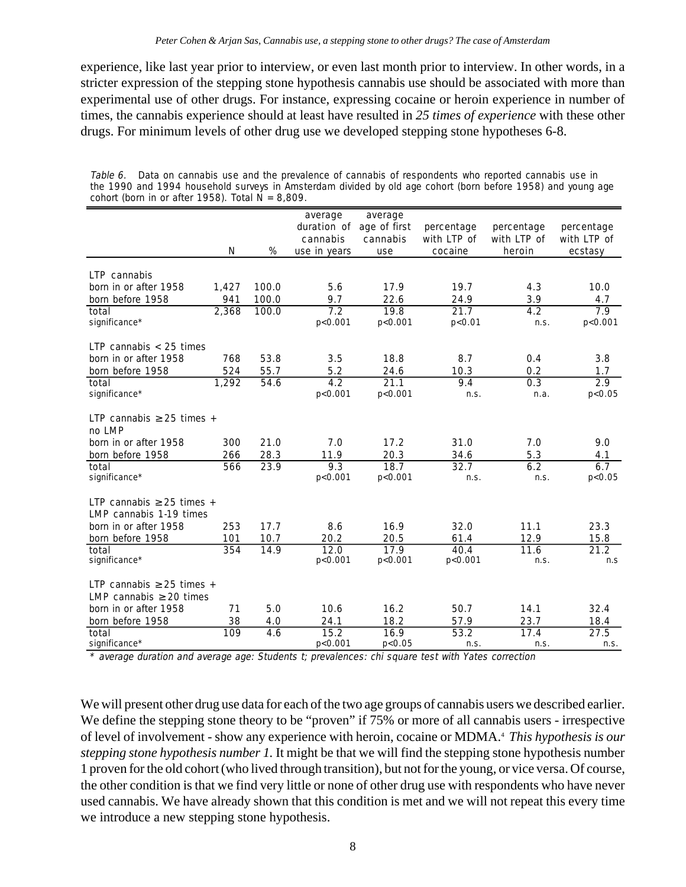experience, like last year prior to interview, or even last month prior to interview. In other words, in a stricter expression of the stepping stone hypothesis cannabis use should be associated with more than experimental use of other drugs. For instance, expressing cocaine or heroin experience in number of times, the cannabis experience should at least have resulted in *25 times of experience* with these other drugs. For minimum levels of other drug use we developed stepping stone hypotheses 6-8.

|                                                                |       |       | average           | average                              |                           |                           |                           |
|----------------------------------------------------------------|-------|-------|-------------------|--------------------------------------|---------------------------|---------------------------|---------------------------|
|                                                                |       |       | cannabis          | duration of age of first<br>cannabis | percentage<br>with LTP of | percentage<br>with LTP of | percentage<br>with LTP of |
|                                                                | N     | %     | use in years      | use                                  | cocaine                   | heroin                    | ecstasy                   |
| LTP cannabis                                                   |       |       |                   |                                      |                           |                           |                           |
| born in or after 1958                                          | 1,427 | 100.0 | 5.6               | 17.9                                 | 19.7                      | 4.3                       | 10.0                      |
| born before 1958                                               | 941   | 100.0 | 9.7               | 22.6                                 | 24.9                      | 3.9                       | 4.7                       |
| total                                                          | 2,368 | 100.0 | 7.2               | 19.8                                 | 21.7                      | 4.2                       | 7.9                       |
| significance*                                                  |       |       | p<0.001           | p<0.001                              | p < 0.01                  | n.S.                      | p<0.001                   |
| LTP cannabis $<$ 25 times                                      |       |       |                   |                                      |                           |                           |                           |
| born in or after 1958                                          | 768   | 53.8  | 3.5               | 18.8                                 | 8.7                       | 0.4                       | 3.8                       |
| born before 1958                                               | 524   | 55.7  | 5.2               | 24.6                                 | 10.3                      | 0.2                       | 1.7                       |
| total                                                          | 1,292 | 54.6  | 4.2               | 21.1                                 | 9.4                       | 0.3                       | 2.9                       |
| significance*                                                  |       |       | p<0.001           | p < 0.001                            | n.S.                      | n.a.                      | p < 0.05                  |
| LTP cannabis $\geq$ 25 times +<br>no LMP                       |       |       |                   |                                      |                           |                           |                           |
| born in or after 1958                                          | 300   | 21.0  | 7.0               | 17.2                                 | 31.0                      | 7.0                       | 9.0                       |
| born before 1958                                               | 266   | 28.3  | 11.9              | 20.3                                 | 34.6                      | 5.3                       | 4.1                       |
| total                                                          | 566   | 23.9  | 9.3               | 18.7                                 | 32.7                      | 6.2                       | 6.7                       |
| significance*                                                  |       |       | p<0.001           | p < 0.001                            | n.S.                      | n.S.                      | p < 0.05                  |
| LTP cannabis $\geq$ 25 times +<br>LMP cannabis 1-19 times      |       |       |                   |                                      |                           |                           |                           |
| born in or after 1958                                          | 253   | 17.7  | 8.6               | 16.9                                 | 32.0                      | 11.1                      | 23.3                      |
| born before 1958                                               | 101   | 10.7  | 20.2              | 20.5                                 | 61.4                      | 12.9                      | 15.8                      |
| total<br>significance*                                         | 354   | 14.9  | 12.0<br>p<0.001   | 17.9<br>p < 0.001                    | 40.4<br>p < 0.001         | 11.6<br>n.S.              | 21.2<br>n.S               |
| LTP cannabis $\geq$ 25 times +<br>LMP cannabis $\geq$ 20 times |       |       |                   |                                      |                           |                           |                           |
| born in or after 1958                                          | 71    | 5.0   | 10.6              | 16.2                                 | 50.7                      | 14.1                      | 32.4                      |
| born before 1958                                               | 38    | 4.0   | 24.1              | 18.2                                 | 57.9                      | 23.7                      | 18.4                      |
| total<br>significance*                                         | 109   | 4.6   | 15.2<br>p < 0.001 | 16.9<br>p < 0.05                     | 53.2<br>n.s.              | 17.4<br>n.s.              | 27.5<br>n.s.              |

Table 6. Data on cannabis use and the prevalence of cannabis of respondents who reported cannabis use in the 1990 and 1994 household surveys in Amsterdam divided by old age cohort (born before 1958) and young age cohort (born in or after 1958). Total  $N = 8,809$ .

average duration and average age: Students t; prevalences: chi square test with Yates correction

We will present other drug use data for each of the two age groups of cannabis users we described earlier. We define the stepping stone theory to be "proven" if 75% or more of all cannabis users - irrespective of level of involvement - show any experience with heroin, cocaine or MDMA.4 *This hypothesis is our stepping stone hypothesis number 1.* It might be that we will find the stepping stone hypothesis number 1 proven for the old cohort (who lived through transition), but not for the young, or vice versa. Of course, the other condition is that we find very little or none of other drug use with respondents who have never used cannabis. We have already shown that this condition is met and we will not repeat this every time we introduce a new stepping stone hypothesis.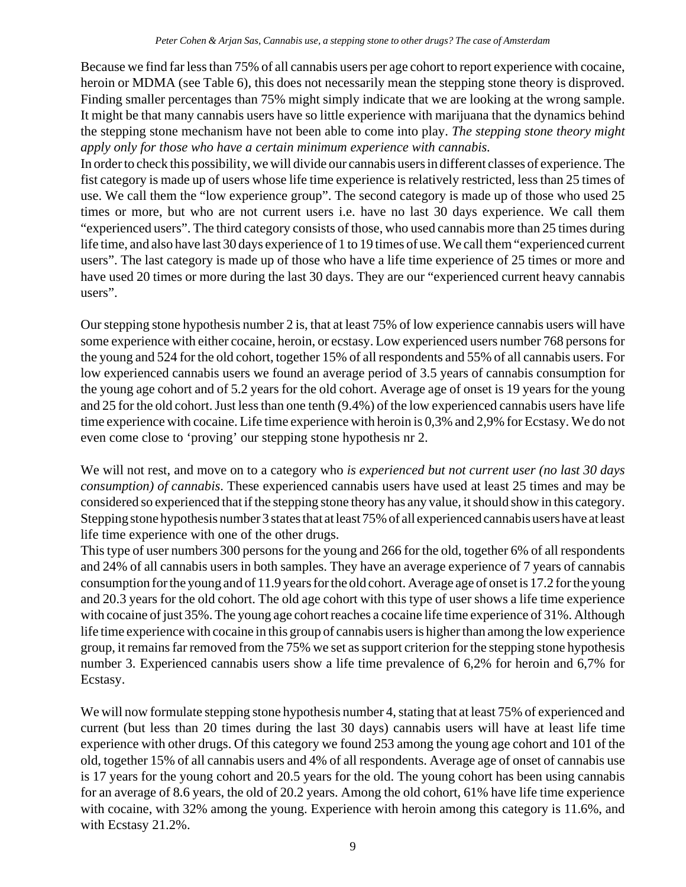Because we find far less than 75% of all cannabis users per age cohort to report experience with cocaine, heroin or MDMA (see Table 6), this does not necessarily mean the stepping stone theory is disproved. Finding smaller percentages than 75% might simply indicate that we are looking at the wrong sample. It might be that many cannabis users have so little experience with marijuana that the dynamics behind the stepping stone mechanism have not been able to come into play. *The stepping stone theory might apply only for those who have a certain minimum experience with cannabis.*

In order to check this possibility, we will divide our cannabis users in different classes of experience. The fist category is made up of users whose life time experience is relatively restricted, less than 25 times of use. We call them the "low experience group". The second category is made up of those who used 25 times or more, but who are not current users i.e. have no last 30 days experience. We call them "experienced users". The third category consists of those, who used cannabis more than 25 times during life time, and also have last 30 days experience of 1 to 19 times of use. We call them "experienced current users". The last category is made up of those who have a life time experience of 25 times or more and have used 20 times or more during the last 30 days. They are our "experienced current heavy cannabis users".

Our stepping stone hypothesis number 2 is, that at least 75% of low experience cannabis users will have some experience with either cocaine, heroin, or ecstasy. Low experienced users number 768 persons for the young and 524 for the old cohort, together 15% of all respondents and 55% of all cannabis users. For low experienced cannabis users we found an average period of 3.5 years of cannabis consumption for the young age cohort and of 5.2 years for the old cohort. Average age of onset is 19 years for the young and 25 for the old cohort. Just less than one tenth (9.4%) of the low experienced cannabis users have life time experience with cocaine. Life time experience with heroin is 0,3% and 2,9% for Ecstasy. We do not even come close to 'proving' our stepping stone hypothesis nr 2.

We will not rest, and move on to a category who *is experienced but not current user (no last 30 days consumption) of cannabis*. These experienced cannabis users have used at least 25 times and may be considered so experienced that if the stepping stone theory has any value, it should show in this category. Stepping stone hypothesis number 3 states that at least 75% of all experienced cannabis users have at least life time experience with one of the other drugs.

This type of user numbers 300 persons for the young and 266 for the old, together 6% of all respondents and 24% of all cannabis users in both samples. They have an average experience of 7 years of cannabis consumption for the young and of 11.9 years for the old cohort. Average age of onset is 17.2 for the young and 20.3 years for the old cohort. The old age cohort with this type of user shows a life time experience with cocaine of just 35%. The young age cohort reaches a cocaine life time experience of 31%. Although life time experience with cocaine in this group of cannabis users is higher than among the low experience group, it remains far removed from the 75% we set as support criterion for the stepping stone hypothesis number 3. Experienced cannabis users show a life time prevalence of 6,2% for heroin and 6,7% for Ecstasy.

We will now formulate stepping stone hypothesis number 4, stating that at least 75% of experienced and current (but less than 20 times during the last 30 days) cannabis users will have at least life time experience with other drugs. Of this category we found 253 among the young age cohort and 101 of the old, together 15% of all cannabis users and 4% of all respondents. Average age of onset of cannabis use is 17 years for the young cohort and 20.5 years for the old. The young cohort has been using cannabis for an average of 8.6 years, the old of 20.2 years. Among the old cohort, 61% have life time experience with cocaine, with 32% among the young. Experience with heroin among this category is 11.6%, and with Ecstasy 21.2%.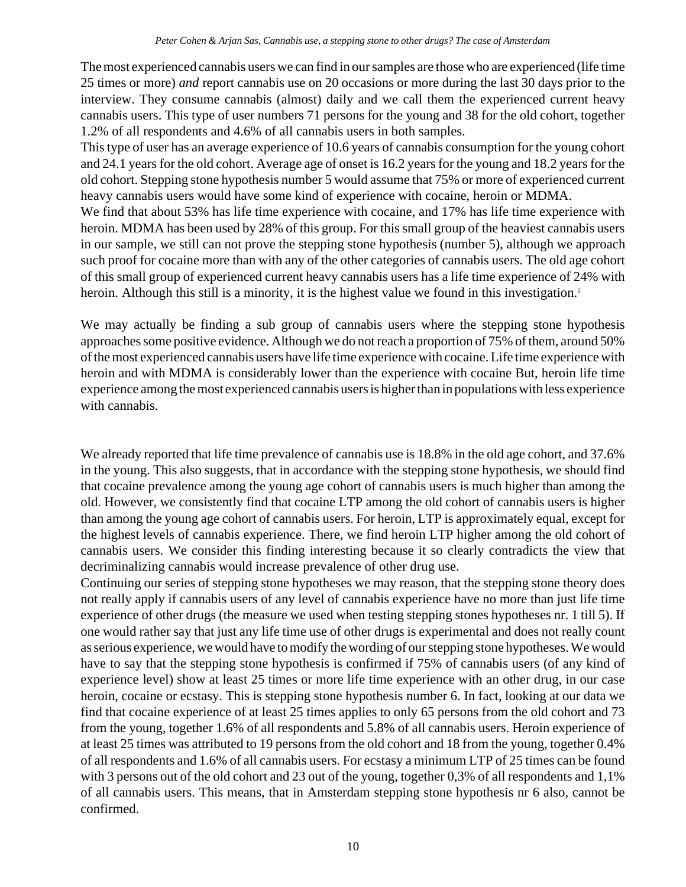The most experienced cannabis users we can find in our samples are those who are experienced (life time 25 times or more) *and* report cannabis use on 20 occasions or more during the last 30 days prior to the interview. They consume cannabis (almost) daily and we call them the experienced current heavy cannabis users. This type of user numbers 71 persons for the young and 38 for the old cohort, together 1.2% of all respondents and 4.6% of all cannabis users in both samples.

This type of user has an average experience of 10.6 years of cannabis consumption for the young cohort and 24.1 years for the old cohort. Average age of onset is 16.2 years for the young and 18.2 years for the old cohort. Stepping stone hypothesis number 5 would assume that 75% or more of experienced current heavy cannabis users would have some kind of experience with cocaine, heroin or MDMA.

We find that about 53% has life time experience with cocaine, and 17% has life time experience with heroin. MDMA has been used by 28% of this group. For this small group of the heaviest cannabis users in our sample, we still can not prove the stepping stone hypothesis (number 5), although we approach such proof for cocaine more than with any of the other categories of cannabis users. The old age cohort of this small group of experienced current heavy cannabis users has a life time experience of 24% with heroin. Although this still is a minority, it is the highest value we found in this investigation.<sup>5</sup>

We may actually be finding a sub group of cannabis users where the stepping stone hypothesis approaches some positive evidence. Although we do not reach a proportion of 75% of them, around 50% of the most experienced cannabis users have life time experience with cocaine. Life time experience with heroin and with MDMA is considerably lower than the experience with cocaine But, heroin life time experience among the most experienced cannabis users is higher than in populations with less experience with cannabis.

We already reported that life time prevalence of cannabis use is 18.8% in the old age cohort, and 37.6% in the young. This also suggests, that in accordance with the stepping stone hypothesis, we should find that cocaine prevalence among the young age cohort of cannabis users is much higher than among the old. However, we consistently find that cocaine LTP among the old cohort of cannabis users is higher than among the young age cohort of cannabis users. For heroin, LTP is approximately equal, except for the highest levels of cannabis experience. There, we find heroin LTP higher among the old cohort of cannabis users. We consider this finding interesting because it so clearly contradicts the view that decriminalizing cannabis would increase prevalence of other drug use.

Continuing our series of stepping stone hypotheses we may reason, that the stepping stone theory does not really apply if cannabis users of any level of cannabis experience have no more than just life time experience of other drugs (the measure we used when testing stepping stones hypotheses nr. 1 till 5). If one would rather say that just any life time use of other drugs is experimental and does not really count as serious experience, we would have to modify the wording of our stepping stone hypotheses. We would have to say that the stepping stone hypothesis is confirmed if 75% of cannabis users (of any kind of experience level) show at least 25 times or more life time experience with an other drug, in our case heroin, cocaine or ecstasy. This is stepping stone hypothesis number 6. In fact, looking at our data we find that cocaine experience of at least 25 times applies to only 65 persons from the old cohort and 73 from the young, together 1.6% of all respondents and 5.8% of all cannabis users. Heroin experience of at least 25 times was attributed to 19 persons from the old cohort and 18 from the young, together 0.4% of all respondents and 1.6% of all cannabis users. For ecstasy a minimum LTP of 25 times can be found with 3 persons out of the old cohort and 23 out of the young, together 0,3% of all respondents and 1,1% of all cannabis users. This means, that in Amsterdam stepping stone hypothesis nr 6 also, cannot be confirmed.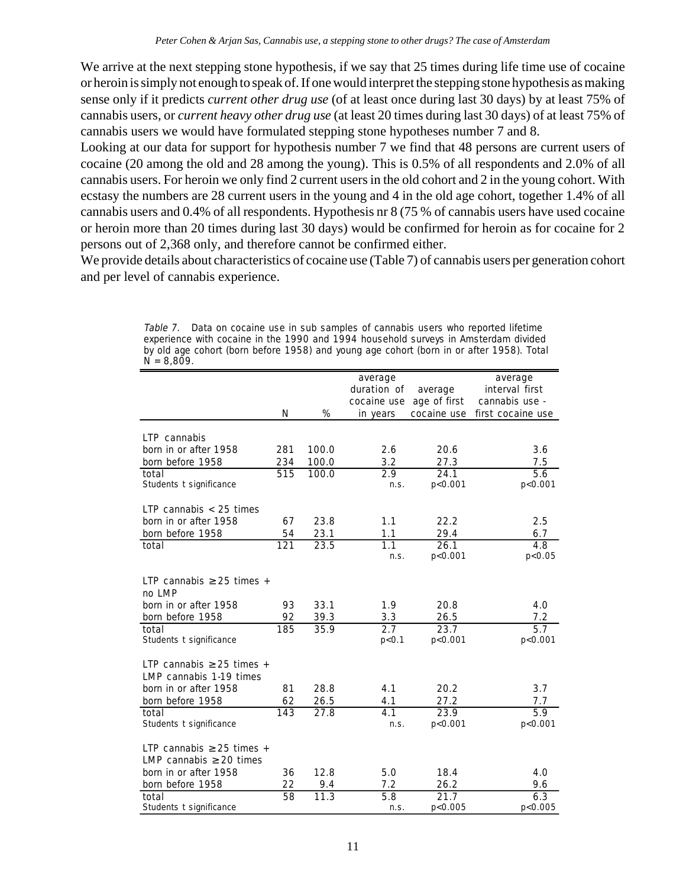We arrive at the next stepping stone hypothesis, if we say that 25 times during life time use of cocaine or heroin is simply not enough to speak of. If one would interpret the stepping stone hypothesis as making sense only if it predicts *current other drug use* (of at least once during last 30 days) by at least 75% of cannabis users, or *current heavy other drug use* (at least 20 times during last 30 days) of at least 75% of cannabis users we would have formulated stepping stone hypotheses number 7 and 8.

Looking at our data for support for hypothesis number 7 we find that 48 persons are current users of cocaine (20 among the old and 28 among the young). This is 0.5% of all respondents and 2.0% of all cannabis users. For heroin we only find 2 current users in the old cohort and 2 in the young cohort. With ecstasy the numbers are 28 current users in the young and 4 in the old age cohort, together 1.4% of all cannabis users and 0.4% of all respondents. Hypothesis nr 8 (75 % of cannabis users have used cocaine or heroin more than 20 times during last 30 days) would be confirmed for heroin as for cocaine for 2 persons out of 2,368 only, and therefore cannot be confirmed either.

We provide details about characteristics of cocaine use (Table 7) of cannabis users per generation cohort and per level of cannabis experience.

| $N = 8,809.$                                                   |     |       |                                                   |                                        |                                                                  |
|----------------------------------------------------------------|-----|-------|---------------------------------------------------|----------------------------------------|------------------------------------------------------------------|
|                                                                | N   | %     | average<br>duration of<br>cocaine use<br>in years | average<br>age of first<br>cocaine use | average<br>interval first<br>cannabis use -<br>first cocaine use |
| LTP cannabis                                                   |     |       |                                                   |                                        |                                                                  |
| born in or after 1958                                          | 281 | 100.0 | 2.6                                               | 20.6                                   | 3.6                                                              |
| born before 1958                                               | 234 | 100.0 | 3.2                                               | 27.3                                   | 7.5                                                              |
| total                                                          | 515 | 100.0 | 2.9                                               | 24.1                                   | 5.6                                                              |
| Students t significance                                        |     |       | n.s.                                              | p < 0.001                              | p < 0.001                                                        |
| LTP cannabis $<$ 25 times                                      |     |       |                                                   |                                        |                                                                  |
| born in or after 1958                                          | 67  | 23.8  | 1.1                                               | 22.2                                   | 2.5                                                              |
| born before 1958                                               | 54  | 23.1  | 1.1                                               | 29.4                                   | 6.7                                                              |
| total                                                          | 121 | 23.5  | 1.1                                               | 26.1                                   | $\overline{4.8}$                                                 |
|                                                                |     |       | n.S.                                              | p < 0.001                              | p < 0.05                                                         |
| LTP cannabis $\geq$ 25 times +<br>no LMP                       |     |       |                                                   |                                        |                                                                  |
| born in or after 1958                                          | 93  | 33.1  | 1.9                                               | 20.8                                   | 4.0                                                              |
| born before 1958                                               | 92  | 39.3  | 3.3                                               | 26.5                                   | 7.2                                                              |
| total<br>Students t significance                               | 185 | 35.9  | 2.7<br>p < 0.1                                    | 23.7<br>p<0.001                        | $\overline{5.7}$<br>p<0.001                                      |
| LTP cannabis $\geq$ 25 times +<br>LMP cannabis 1-19 times      |     |       |                                                   |                                        |                                                                  |
| born in or after 1958                                          | 81  | 28.8  | 4.1                                               | 20.2                                   | 3.7                                                              |
| born before 1958                                               | 62  | 26.5  | 4.1                                               | 27.2                                   | 7.7                                                              |
| total                                                          | 143 | 27.8  | 4.1                                               | 23.9                                   | $\overline{5.9}$                                                 |
| Students t significance                                        |     |       | n.S.                                              | p<0.001                                | p < 0.001                                                        |
| LTP cannabis $\geq$ 25 times +<br>LMP cannabis $\geq 20$ times |     |       |                                                   |                                        |                                                                  |
| born in or after 1958                                          | 36  | 12.8  | 5.0                                               | 18.4                                   | 4.0                                                              |
| born before 1958                                               | 22  | 9.4   | 7.2                                               | 26.2                                   | 9.6                                                              |
| total<br>Students t significance                               | 58  | 11.3  | 5.8<br>n.S.                                       | 21.7<br>p<0.005                        | 6.3<br>p<0.005                                                   |

Table 7. Data on cocaine use in sub samples of cannabis users who reported lifetime experience with cocaine in the 1990 and 1994 household surveys in Amsterdam divided by old age cohort (born before 1958) and young age cohort (born in or after 1958). Total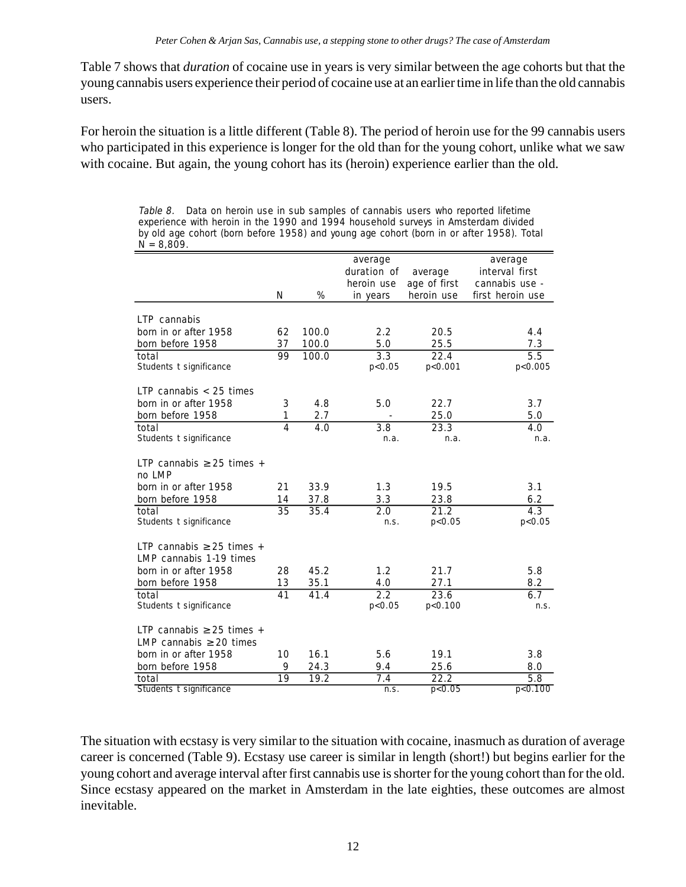Table 7 shows that *duration* of cocaine use in years is very similar between the age cohorts but that the young cannabis users experience their period of cocaine use at an earlier time in life than the old cannabis users.

For heroin the situation is a little different (Table 8). The period of heroin use for the 99 cannabis users who participated in this experience is longer for the old than for the young cohort, unlike what we saw with cocaine. But again, the young cohort has its (heroin) experience earlier than the old.

Table 8. Data on heroin use in sub samples of cannabis users who reported lifetime experience with heroin in the 1990 and 1994 household surveys in Amsterdam divided by old age cohort (born before 1958) and young age cohort (born in or after 1958). Total  $N = 8,809$ .

|                                |                |                | average          |              | average          |
|--------------------------------|----------------|----------------|------------------|--------------|------------------|
|                                |                |                | duration of      | average      | interval first   |
|                                |                |                | heroin use       | age of first | cannabis use -   |
|                                | N              | %              | in years         | heroin use   | first heroin use |
| LTP cannabis                   |                |                |                  |              |                  |
| born in or after 1958          | 62             | 100.0          | 2.2              |              |                  |
|                                |                |                |                  | 20.5         | 4.4              |
| born before 1958<br>total      | 37<br>99       | 100.0<br>100.0 | 5.0<br>3.3       | 25.5<br>22.4 | 7.3<br>5.5       |
| Students t significance        |                |                | p < 0.05         | p<0.001      | p<0.005          |
|                                |                |                |                  |              |                  |
| LTP cannabis $<$ 25 times      |                |                |                  |              |                  |
| born in or after 1958          | 3              | 4.8            | 5.0              | 22.7         | 3.7              |
| born before 1958               | 1              | 2.7            |                  | 25.0         | 5.0              |
| total                          | $\overline{4}$ | 4.0            | $\overline{3.8}$ | 23.3         | 4.0              |
| Students t significance        |                |                | n.a.             | n.a.         | n.a.             |
|                                |                |                |                  |              |                  |
| LTP cannabis $\geq$ 25 times + |                |                |                  |              |                  |
| no LMP                         |                |                |                  |              |                  |
| born in or after 1958          | 21             | 33.9           | 1.3              | 19.5         | 3.1              |
| born before 1958               | 14             | 37.8           | 3.3              | 23.8         | 6.2              |
| total                          | 35             | 35.4           | 2.0              | 21.2         | 4.3              |
| Students t significance        |                |                | n.S.             | p < 0.05     | p < 0.05         |
| LTP cannabis $\geq$ 25 times + |                |                |                  |              |                  |
| LMP cannabis 1-19 times        |                |                |                  |              |                  |
| born in or after 1958          | 28             | 45.2           | 1.2              | 21.7         | 5.8              |
| born before 1958               | 13             | 35.1           | 4.0              | 27.1         | 8.2              |
| total                          | 41             | 41.4           | 2.2              | 23.6         | 6.7              |
| Students t significance        |                |                | p < 0.05         | p<0.100      | n.S.             |
|                                |                |                |                  |              |                  |
| LTP cannabis $\geq$ 25 times + |                |                |                  |              |                  |
| LMP cannabis $\geq$ 20 times   |                |                |                  |              |                  |
| born in or after 1958          | 10             | 16.1           | 5.6              | 19.1         | 3.8              |
| born before 1958               | 9              | 24.3           | 9.4              | 25.6         | 8.0              |
| total                          | 19             | 19.2           | 7.4              | 22.2         | 5.8              |
| Students t significance        |                |                | n.S.             | p < 0.05     | p < 0.100        |

The situation with ecstasy is very similar to the situation with cocaine, inasmuch as duration of average career is concerned (Table 9). Ecstasy use career is similar in length (short!) but begins earlier for the young cohort and average interval after first cannabis use is shorter for the young cohort than for the old. Since ecstasy appeared on the market in Amsterdam in the late eighties, these outcomes are almost inevitable.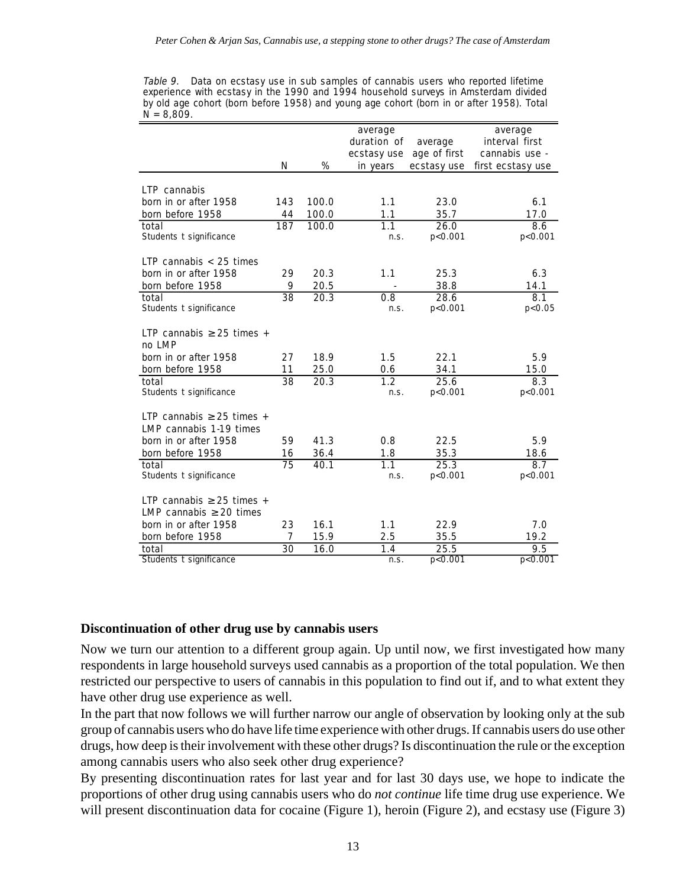Table 9. Data on ecstasy use in sub samples of cannabis users who reported lifetime experience with ecstasy in the 1990 and 1994 household surveys in Amsterdam divided by old age cohort (born before 1958) and young age cohort (born in or after 1958). Total  $N = 8,809$ .

|                                |                 |       | average          |              | average           |
|--------------------------------|-----------------|-------|------------------|--------------|-------------------|
|                                |                 |       | duration of      | average      | interval first    |
|                                |                 |       | ecstasy use      | age of first | cannabis use -    |
|                                | N               | %     | in years         | ecstasy use  | first ecstasy use |
|                                |                 |       |                  |              |                   |
| LTP cannabis                   |                 |       |                  |              |                   |
| born in or after 1958          | 143             | 100.0 | 1.1              | 23.0         | 6.1               |
| born before 1958               | 44              | 100.0 | 1.1              | 35.7         | 17.0              |
| total                          | 187             | 100.0 | 1.1              | 26.0         | 8.6               |
| Students t significance        |                 |       | n.S.             | p < 0.001    | p < 0.001         |
| LTP cannabis $<$ 25 times      |                 |       |                  |              |                   |
| born in or after 1958          | 29              | 20.3  | 1.1              | 25.3         | 6.3               |
| born before 1958               | 9               | 20.5  |                  | 38.8         | 14.1              |
| total                          | $\overline{38}$ | 20.3  | 0.8              | 28.6         | 8.1               |
| Students t significance        |                 |       | n.S.             | p < 0.001    | p < 0.05          |
|                                |                 |       |                  |              |                   |
| LTP cannabis $\geq$ 25 times + |                 |       |                  |              |                   |
| no LMP                         |                 |       |                  |              |                   |
| born in or after 1958          | 27              | 18.9  | 1.5              | 22.1         | 5.9               |
| born before 1958               | 11              | 25.0  | 0.6              | 34.1         | 15.0              |
| total                          | 38              | 20.3  | $\overline{1.2}$ | 25.6         | 8.3               |
| Students t significance        |                 |       | n.S.             | p < 0.001    | p < 0.001         |
| LTP cannabis $\geq$ 25 times + |                 |       |                  |              |                   |
| LMP cannabis 1-19 times        |                 |       |                  |              |                   |
| born in or after 1958          | 59              | 41.3  | 0.8              | 22.5         | 5.9               |
| born before 1958               | 16              | 36.4  | 1.8              | 35.3         | 18.6              |
| total                          | 75              | 40.1  | 1.1              | 25.3         | 8.7               |
| Students t significance        |                 |       | n.S.             | p < 0.001    | p < 0.001         |
|                                |                 |       |                  |              |                   |
| LTP cannabis $\geq$ 25 times + |                 |       |                  |              |                   |
| LMP cannabis $\geq 20$ times   |                 |       |                  |              |                   |
| born in or after 1958          | 23              | 16.1  | 1.1              | 22.9         | 7.0               |
| born before 1958               | 7               | 15.9  | 2.5              | 35.5         | 19.2              |
| total                          | 30              | 16.0  | 1.4              | 25.5         | 9.5               |
| Students t significance        |                 |       | n.S.             | p < 0.001    | p < 0.001         |

#### **Discontinuation of other drug use by cannabis users**

Now we turn our attention to a different group again. Up until now, we first investigated how many respondents in large household surveys used cannabis as a proportion of the total population. We then restricted our perspective to users of cannabis in this population to find out if, and to what extent they have other drug use experience as well.

In the part that now follows we will further narrow our angle of observation by looking only at the sub group of cannabis users who do have life time experience with other drugs. If cannabis users do use other drugs, how deep is their involvement with these other drugs? Is discontinuation the rule or the exception among cannabis users who also seek other drug experience?

By presenting discontinuation rates for last year and for last 30 days use, we hope to indicate the proportions of other drug using cannabis users who do *not continue* life time drug use experience. We will present discontinuation data for cocaine (Figure 1), heroin (Figure 2), and ecstasy use (Figure 3)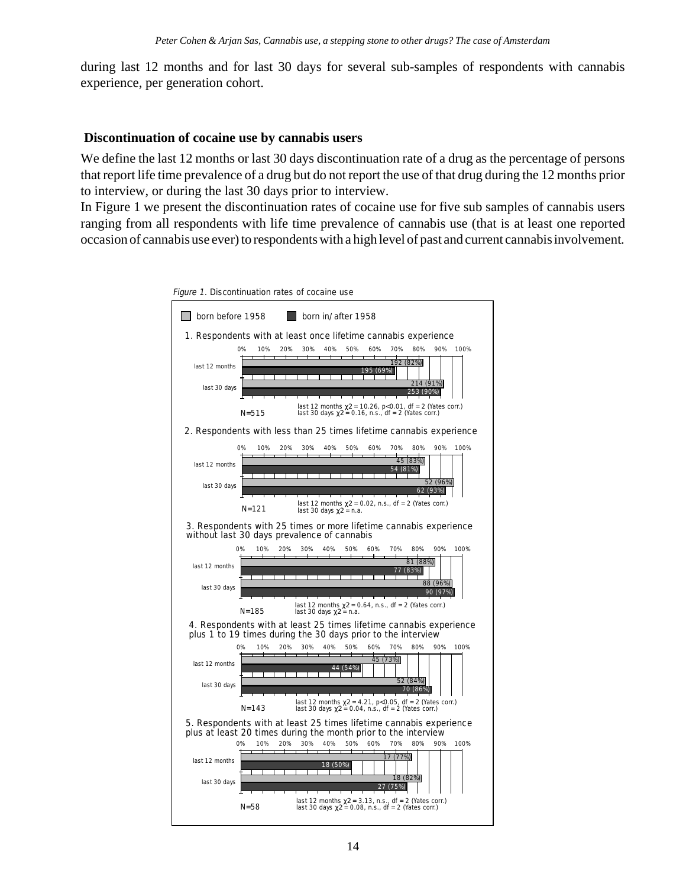during last 12 months and for last 30 days for several sub-samples of respondents with cannabis experience, per generation cohort.

### **Discontinuation of cocaine use by cannabis users**

We define the last 12 months or last 30 days discontinuation rate of a drug as the percentage of persons that report life time prevalence of a drug but do not report the use of that drug during the 12 months prior to interview, or during the last 30 days prior to interview.

In Figure 1 we present the discontinuation rates of cocaine use for five sub samples of cannabis users ranging from all respondents with life time prevalence of cannabis use (that is at least one reported occasion of cannabis use ever) to respondents with a high level of past and current cannabis involvement.

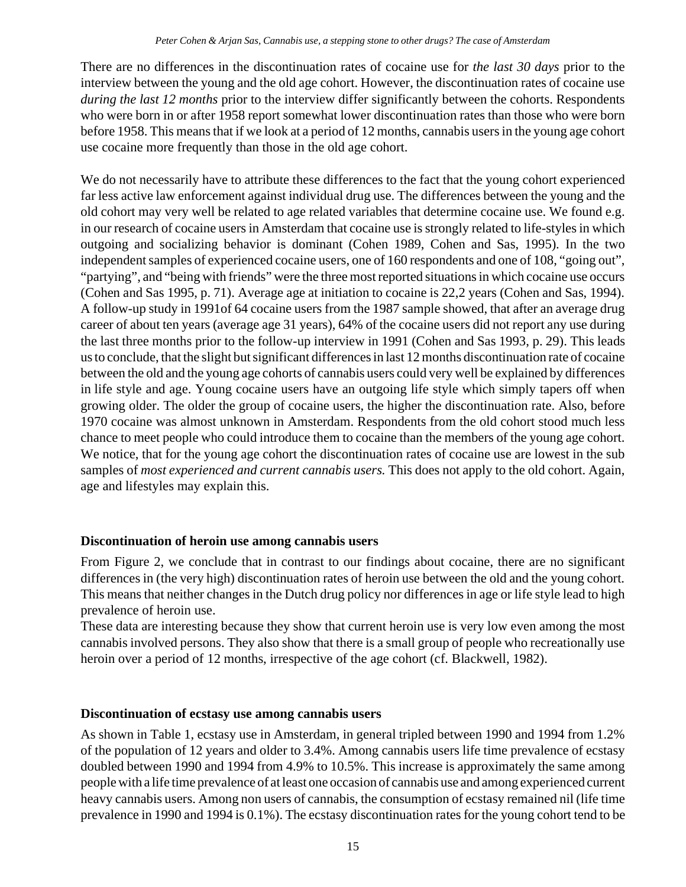There are no differences in the discontinuation rates of cocaine use for *the last 30 days* prior to the interview between the young and the old age cohort. However, the discontinuation rates of cocaine use *during the last 12 months* prior to the interview differ significantly between the cohorts. Respondents who were born in or after 1958 report somewhat lower discontinuation rates than those who were born before 1958. This means that if we look at a period of 12 months, cannabis users in the young age cohort use cocaine more frequently than those in the old age cohort.

We do not necessarily have to attribute these differences to the fact that the young cohort experienced far less active law enforcement against individual drug use. The differences between the young and the old cohort may very well be related to age related variables that determine cocaine use. We found e.g. in our research of cocaine users in Amsterdam that cocaine use is strongly related to life-styles in which outgoing and socializing behavior is dominant (Cohen 1989, Cohen and Sas, 1995). In the two independent samples of experienced cocaine users, one of 160 respondents and one of 108, "going out", "partying", and "being with friends" were the three most reported situations in which cocaine use occurs (Cohen and Sas 1995, p. 71). Average age at initiation to cocaine is 22,2 years (Cohen and Sas, 1994). A follow-up study in 1991of 64 cocaine users from the 1987 sample showed, that after an average drug career of about ten years (average age 31 years), 64% of the cocaine users did not report any use during the last three months prior to the follow-up interview in 1991 (Cohen and Sas 1993, p. 29). This leads us to conclude, that the slight but significant differences in last 12 months discontinuation rate of cocaine between the old and the young age cohorts of cannabis users could very well be explained by differences in life style and age. Young cocaine users have an outgoing life style which simply tapers off when growing older. The older the group of cocaine users, the higher the discontinuation rate. Also, before 1970 cocaine was almost unknown in Amsterdam. Respondents from the old cohort stood much less chance to meet people who could introduce them to cocaine than the members of the young age cohort. We notice, that for the young age cohort the discontinuation rates of cocaine use are lowest in the sub samples of *most experienced and current cannabis users.* This does not apply to the old cohort. Again, age and lifestyles may explain this.

# **Discontinuation of heroin use among cannabis users**

From Figure 2, we conclude that in contrast to our findings about cocaine, there are no significant differences in (the very high) discontinuation rates of heroin use between the old and the young cohort. This means that neither changes in the Dutch drug policy nor differences in age or life style lead to high prevalence of heroin use.

These data are interesting because they show that current heroin use is very low even among the most cannabis involved persons. They also show that there is a small group of people who recreationally use heroin over a period of 12 months, irrespective of the age cohort (cf. Blackwell, 1982).

# **Discontinuation of ecstasy use among cannabis users**

As shown in Table 1, ecstasy use in Amsterdam, in general tripled between 1990 and 1994 from 1.2% of the population of 12 years and older to 3.4%. Among cannabis users life time prevalence of ecstasy doubled between 1990 and 1994 from 4.9% to 10.5%. This increase is approximately the same among people with a life time prevalence of at least one occasion of cannabis use and among experienced current heavy cannabis users. Among non users of cannabis, the consumption of ecstasy remained nil (life time prevalence in 1990 and 1994 is 0.1%). The ecstasy discontinuation rates for the young cohort tend to be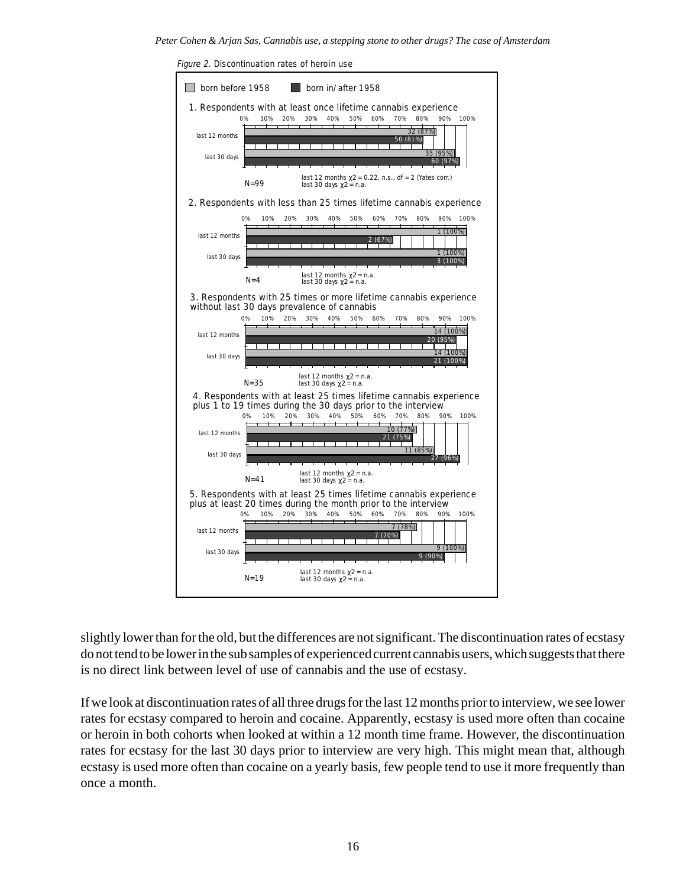*Peter Cohen & Arjan Sas, Cannabis use, a stepping stone to other drugs? The case of Amsterdam*



Figure 2. Discontinuation rates of heroin use

slightly lower than for the old, but the differences are not significant. The discontinuation rates of ecstasy do not tend to be lower in the sub samples of experienced current cannabis users, which suggests that there is no direct link between level of use of cannabis and the use of ecstasy.

If we look at discontinuation rates of all three drugs for the last 12 months prior to interview, we see lower rates for ecstasy compared to heroin and cocaine. Apparently, ecstasy is used more often than cocaine or heroin in both cohorts when looked at within a 12 month time frame. However, the discontinuation rates for ecstasy for the last 30 days prior to interview are very high. This might mean that, although ecstasy is used more often than cocaine on a yearly basis, few people tend to use it more frequently than once a month.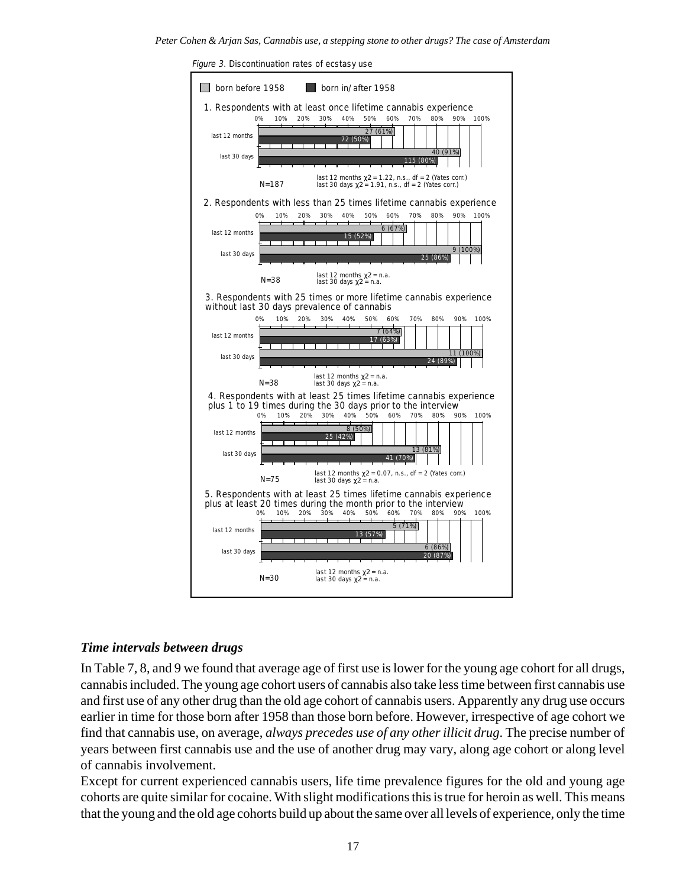

#### Figure 3. Discontinuation rates of ecstasy use

#### *Time intervals between drugs*

In Table 7, 8, and 9 we found that average age of first use is lower for the young age cohort for all drugs, cannabis included. The young age cohort users of cannabis also take less time between first cannabis use and first use of any other drug than the old age cohort of cannabis users. Apparently any drug use occurs earlier in time for those born after 1958 than those born before. However, irrespective of age cohort we find that cannabis use, on average, *always precedes use of any other illicit drug*. The precise number of years between first cannabis use and the use of another drug may vary, along age cohort or along level of cannabis involvement.

Except for current experienced cannabis users, life time prevalence figures for the old and young age cohorts are quite similar for cocaine. With slight modifications this is true for heroin as well. This means that the young and the old age cohorts build up about the same over all levels of experience, only the time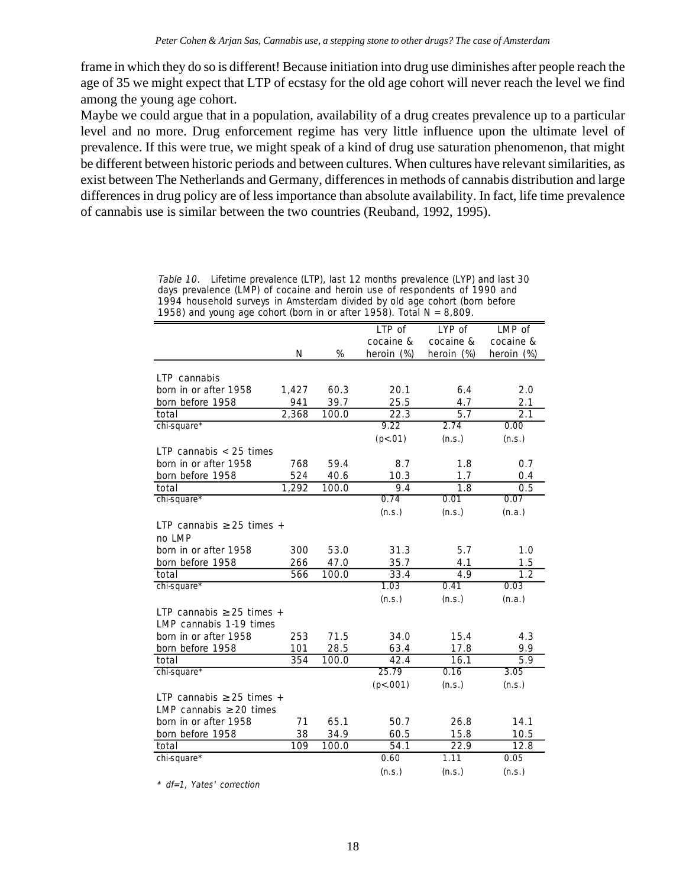frame in which they do so is different! Because initiation into drug use diminishes after people reach the age of 35 we might expect that LTP of ecstasy for the old age cohort will never reach the level we find among the young age cohort.

Maybe we could argue that in a population, availability of a drug creates prevalence up to a particular level and no more. Drug enforcement regime has very little influence upon the ultimate level of prevalence. If this were true, we might speak of a kind of drug use saturation phenomenon, that might be different between historic periods and between cultures. When cultures have relevant similarities, as exist between The Netherlands and Germany, differences in methods of cannabis distribution and large differences in drug policy are of less importance than absolute availability. In fact, life time prevalence of cannabis use is similar between the two countries (Reuband, 1992, 1995).

> Table 10. Lifetime prevalence (LTP), last 12 months prevalence (LYP) and last 30 days prevalence (LMP) of cocaine and heroin use of respondents of 1990 and 1994 household surveys in Amsterdam divided by old age cohort (born before 1958) and young age cohort (born in or after 1958). Total  $N = 8,809$ .

|                                |       |       | LTP of            | LYP of           | LMP of     |
|--------------------------------|-------|-------|-------------------|------------------|------------|
|                                |       |       | cocaine &         | cocaine &        | cocaine &  |
|                                | N     | %     | heroin (%)        | heroin (%)       | heroin (%) |
|                                |       |       |                   |                  |            |
| LTP cannabis                   |       |       |                   |                  |            |
| born in or after 1958          | 1,427 | 60.3  | 20.1              | 6.4              | 2.0        |
| born before 1958               | 941   | 39.7  | 25.5              | 4.7              | 2.1        |
| total                          | 2,368 | 100.0 | $\overline{22.3}$ | $\overline{5.7}$ | 2.1        |
| chi-square*                    |       |       | 9.22              | 2.74             | 0.00       |
|                                |       |       | (p<.01)           | (n.s.)           | (n.s.)     |
| LTP cannabis $<$ 25 times      |       |       |                   |                  |            |
| born in or after 1958          | 768   | 59.4  | 8.7               | 1.8              | 0.7        |
| born before 1958               | 524   | 40.6  | 10.3              | 1.7              | 0.4        |
| total                          | 1,292 | 100.0 | 9.4               | 1.8              | 0.5        |
| chi-square*                    |       |       | 0.74              | 0.01             | 0.07       |
|                                |       |       | (n.s.)            | (n.s.)           | (n.a.)     |
| LTP cannabis $\geq$ 25 times + |       |       |                   |                  |            |
| no LMP                         |       |       |                   |                  |            |
| born in or after 1958          | 300   | 53.0  | 31.3              | 5.7              | 1.0        |
| born before 1958               | 266   | 47.0  | 35.7              | 4.1              | 1.5        |
| total                          | 566   | 100.0 | 33.4              | 4.9              | 1.2        |
| chi-square*                    |       |       | 1.03              | 0.41             | 0.03       |
|                                |       |       | (n.s.)            | (n.s.)           | (n.a.)     |
| LTP cannabis $\geq$ 25 times + |       |       |                   |                  |            |
| LMP cannabis 1-19 times        |       |       |                   |                  |            |
| born in or after 1958          | 253   | 71.5  | 34.0              | 15.4             | 4.3        |
| born before 1958               | 101   | 28.5  | 63.4              | 17.8             | 9.9        |
| total                          | 354   | 100.0 | 42.4              | 16.1             | 5.9        |
| chi-square*                    |       |       | 25.79             | 0.16             | 3.05       |
|                                |       |       | (p<.001)          | (n.s.)           | (n.s.)     |
| LTP cannabis $\geq$ 25 times + |       |       |                   |                  |            |
| LMP cannabis $\geq 20$ times   |       |       |                   |                  |            |
| born in or after 1958          | 71    | 65.1  | 50.7              | 26.8             | 14.1       |
| born before 1958               | 38    | 34.9  | 60.5              | 15.8             | 10.5       |
| total                          | 109   | 100.0 | 54.1              | 22.9             | 12.8       |
| chi-square*                    |       |       | 0.60              | 1.11             | 0.05       |
|                                |       |       | (n.s.)            | (n.s.)           | (n.s.)     |

\* df=1, Yates' correction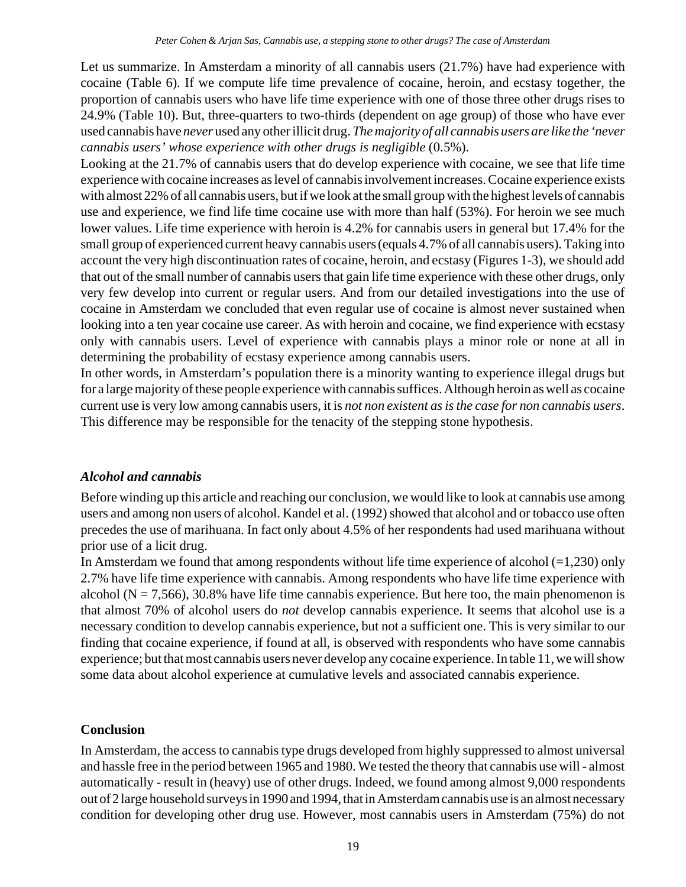Let us summarize. In Amsterdam a minority of all cannabis users (21.7%) have had experience with cocaine (Table 6). If we compute life time prevalence of cocaine, heroin, and ecstasy together, the proportion of cannabis users who have life time experience with one of those three other drugs rises to 24.9% (Table 10). But, three-quarters to two-thirds (dependent on age group) of those who have ever used cannabis have *never* used any other illicit drug. *The majority of all cannabis users are like the 'never cannabis users' whose experience with other drugs is negligible* (0.5%).

Looking at the 21.7% of cannabis users that do develop experience with cocaine, we see that life time experience with cocaine increases as level of cannabis involvement increases. Cocaine experience exists with almost 22% of all cannabis users, but if we look at the small group with the highest levels of cannabis use and experience, we find life time cocaine use with more than half (53%). For heroin we see much lower values. Life time experience with heroin is 4.2% for cannabis users in general but 17.4% for the small group of experienced current heavy cannabis users (equals 4.7% of all cannabis users). Taking into account the very high discontinuation rates of cocaine, heroin, and ecstasy (Figures 1-3), we should add that out of the small number of cannabis users that gain life time experience with these other drugs, only very few develop into current or regular users. And from our detailed investigations into the use of cocaine in Amsterdam we concluded that even regular use of cocaine is almost never sustained when looking into a ten year cocaine use career. As with heroin and cocaine, we find experience with ecstasy only with cannabis users. Level of experience with cannabis plays a minor role or none at all in determining the probability of ecstasy experience among cannabis users.

In other words, in Amsterdam's population there is a minority wanting to experience illegal drugs but for a large majority of these people experience with cannabis suffices. Although heroin as well as cocaine current use is very low among cannabis users, it is *not non existent as is the case for non cannabis users*. This difference may be responsible for the tenacity of the stepping stone hypothesis.

# *Alcohol and cannabis*

Before winding up this article and reaching our conclusion, we would like to look at cannabis use among users and among non users of alcohol. Kandel et al. (1992) showed that alcohol and or tobacco use often precedes the use of marihuana. In fact only about 4.5% of her respondents had used marihuana without prior use of a licit drug.

In Amsterdam we found that among respondents without life time experience of alcohol  $(=1,230)$  only 2.7% have life time experience with cannabis. Among respondents who have life time experience with alcohol ( $N = 7,566$ ), 30.8% have life time cannabis experience. But here too, the main phenomenon is that almost 70% of alcohol users do *not* develop cannabis experience. It seems that alcohol use is a necessary condition to develop cannabis experience, but not a sufficient one. This is very similar to our finding that cocaine experience, if found at all, is observed with respondents who have some cannabis experience; but that most cannabis users never develop any cocaine experience. In table 11, we will show some data about alcohol experience at cumulative levels and associated cannabis experience.

# **Conclusion**

In Amsterdam, the access to cannabis type drugs developed from highly suppressed to almost universal and hassle free in the period between 1965 and 1980. We tested the theory that cannabis use will - almost automatically - result in (heavy) use of other drugs. Indeed, we found among almost 9,000 respondents out of 2 large household surveys in 1990 and 1994, that in Amsterdam cannabis use is an almost necessary condition for developing other drug use. However, most cannabis users in Amsterdam (75%) do not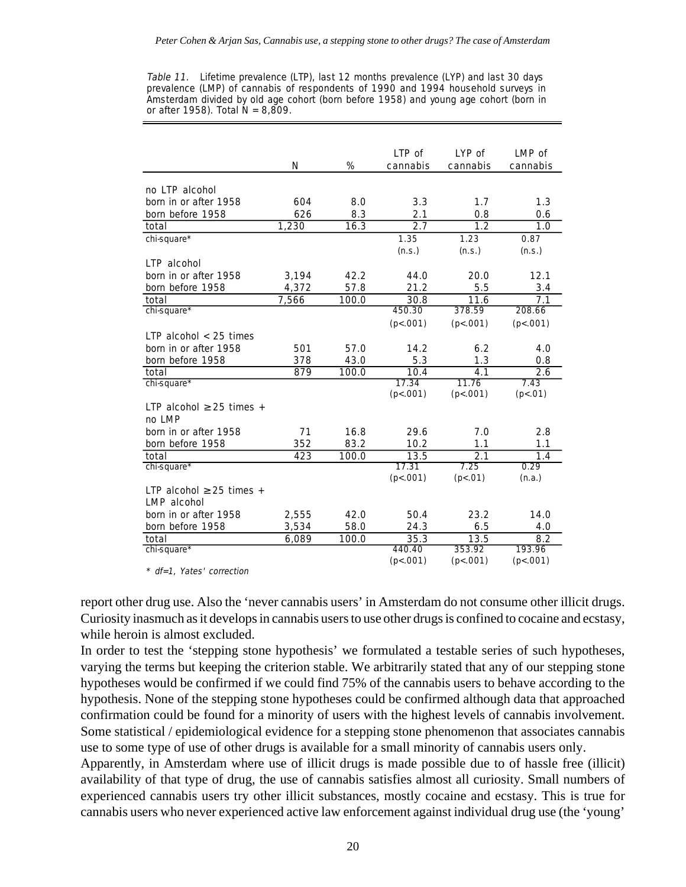Table 11. Lifetime prevalence (LTP), last 12 months prevalence (LYP) and last 30 days prevalence (LMP) of cannabis of respondents of 1990 and 1994 household surveys in Amsterdam divided by old age cohort (born before 1958) and young age cohort (born in or after 1958). Total  $\tilde{N} = 8,809$ .

|                               |       |       | LTP of   | LYP of   | LMP of   |
|-------------------------------|-------|-------|----------|----------|----------|
|                               | N     | %     | cannabis | cannabis | cannabis |
|                               |       |       |          |          |          |
| no LTP alcohol                |       |       |          |          |          |
| born in or after 1958         | 604   | 8.0   | 3.3      | 1.7      | 1.3      |
| born before 1958              | 626   | 8.3   | 2.1      | 0.8      | 0.6      |
| total                         | 1,230 | 16.3  | 2.7      | 1.2      | 1.0      |
| chi-square*                   |       |       | 1.35     | 1.23     | 0.87     |
|                               |       |       | (n.s.)   | (n.s.)   | (n.s.)   |
| LTP alcohol                   |       |       |          |          |          |
| born in or after 1958         | 3,194 | 42.2  | 44.0     | 20.0     | 12.1     |
| born before 1958              | 4,372 | 57.8  | 21.2     | 5.5      | 3.4      |
| total                         | 7,566 | 100.0 | 30.8     | 11.6     | 7.1      |
| chi-square*                   |       |       | 450.30   | 378.59   | 208.66   |
|                               |       |       | (p<.001) | (p<.001) | (p<.001) |
| LTP alcohol $<$ 25 times      |       |       |          |          |          |
| born in or after 1958         | 501   | 57.0  | 14.2     | 6.2      | 4.0      |
| born before 1958              | 378   | 43.0  | 5.3      | 1.3      | 0.8      |
| total                         | 879   | 100.0 | 10.4     | 4.1      | 2.6      |
| chi-square*                   |       |       | 17.34    | 11.76    | 7.43     |
|                               |       |       | (p<.001) | (p<.001) | (p<.01)  |
| LTP alcohol $\geq$ 25 times + |       |       |          |          |          |
| no LMP                        |       |       |          |          |          |
| born in or after 1958         | 71    | 16.8  | 29.6     | 7.0      | 2.8      |
| born before 1958              | 352   | 83.2  | 10.2     | 1.1      | 1.1      |
| total                         | 423   | 100.0 | 13.5     | 2.1      | 1.4      |
| chi-square*                   |       |       | 17.31    | 7.25     | 0.29     |
|                               |       |       | (p<.001) | (p<.01)  | (n.a.)   |
| LTP alcohol $\geq$ 25 times + |       |       |          |          |          |
| <b>LMP</b> alcohol            |       |       |          |          |          |
| born in or after 1958         | 2,555 | 42.0  | 50.4     | 23.2     | 14.0     |
| born before 1958              | 3,534 | 58.0  | 24.3     | 6.5      | 4.0      |
| total                         | 6,089 | 100.0 | 35.3     | 13.5     | 8.2      |
| chi-square*                   |       |       | 440.40   | 353.92   | 193.96   |
|                               |       |       | (p<.001) | (p<.001) | (p<.001) |

\* df=1, Yates' correction

report other drug use. Also the 'never cannabis users' in Amsterdam do not consume other illicit drugs. Curiosity inasmuch as it develops in cannabis users to use other drugs is confined to cocaine and ecstasy, while heroin is almost excluded.

In order to test the 'stepping stone hypothesis' we formulated a testable series of such hypotheses, varying the terms but keeping the criterion stable. We arbitrarily stated that any of our stepping stone hypotheses would be confirmed if we could find 75% of the cannabis users to behave according to the hypothesis. None of the stepping stone hypotheses could be confirmed although data that approached confirmation could be found for a minority of users with the highest levels of cannabis involvement. Some statistical / epidemiological evidence for a stepping stone phenomenon that associates cannabis use to some type of use of other drugs is available for a small minority of cannabis users only.

Apparently, in Amsterdam where use of illicit drugs is made possible due to of hassle free (illicit) availability of that type of drug, the use of cannabis satisfies almost all curiosity. Small numbers of experienced cannabis users try other illicit substances, mostly cocaine and ecstasy. This is true for cannabis users who never experienced active law enforcement against individual drug use (the 'young'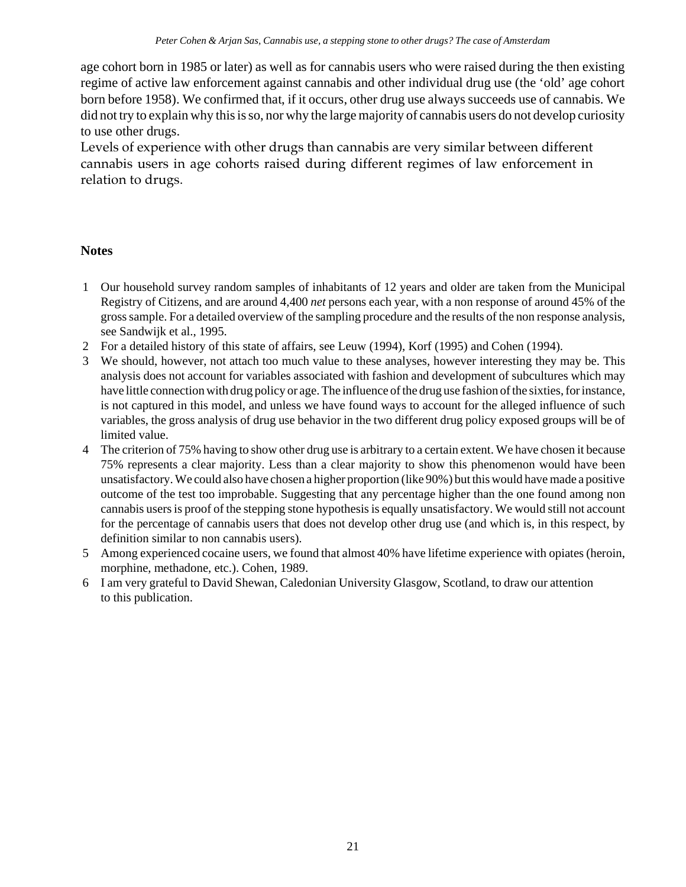age cohort born in 1985 or later) as well as for cannabis users who were raised during the then existing regime of active law enforcement against cannabis and other individual drug use (the 'old' age cohort born before 1958). We confirmed that, if it occurs, other drug use always succeeds use of cannabis. We did not try to explain why this is so, nor why the large majority of cannabis users do not develop curiosity to use other drugs.

Levels of experience with other drugs than cannabis are very similar between different cannabis users in age cohorts raised during different regimes of law enforcement in relation to drugs.

## **Notes**

- 1 Our household survey random samples of inhabitants of 12 years and older are taken from the Municipal Registry of Citizens, and are around 4,400 *net* persons each year, with a non response of around 45% of the gross sample. For a detailed overview of the sampling procedure and the results of the non response analysis, see Sandwijk et al., 1995.
- 2 For a detailed history of this state of affairs, see Leuw (1994), Korf (1995) and Cohen (1994).
- 3 We should, however, not attach too much value to these analyses, however interesting they may be. This analysis does not account for variables associated with fashion and development of subcultures which may have little connection with drug policy or age. The influence of the drug use fashion of the sixties, for instance, is not captured in this model, and unless we have found ways to account for the alleged influence of such variables, the gross analysis of drug use behavior in the two different drug policy exposed groups will be of limited value.
- 4 The criterion of 75% having to show other drug use is arbitrary to a certain extent. We have chosen it because 75% represents a clear majority. Less than a clear majority to show this phenomenon would have been unsatisfactory. We could also have chosen a higher proportion (like 90%) but this would have made a positive outcome of the test too improbable. Suggesting that any percentage higher than the one found among non cannabis users is proof of the stepping stone hypothesis is equally unsatisfactory. We would still not account for the percentage of cannabis users that does not develop other drug use (and which is, in this respect, by definition similar to non cannabis users).
- 5 Among experienced cocaine users, we found that almost 40% have lifetime experience with opiates (heroin, morphine, methadone, etc.). Cohen, 1989.
- 6 I am very grateful to David Shewan, Caledonian University Glasgow, Scotland, to draw our attention to this publication.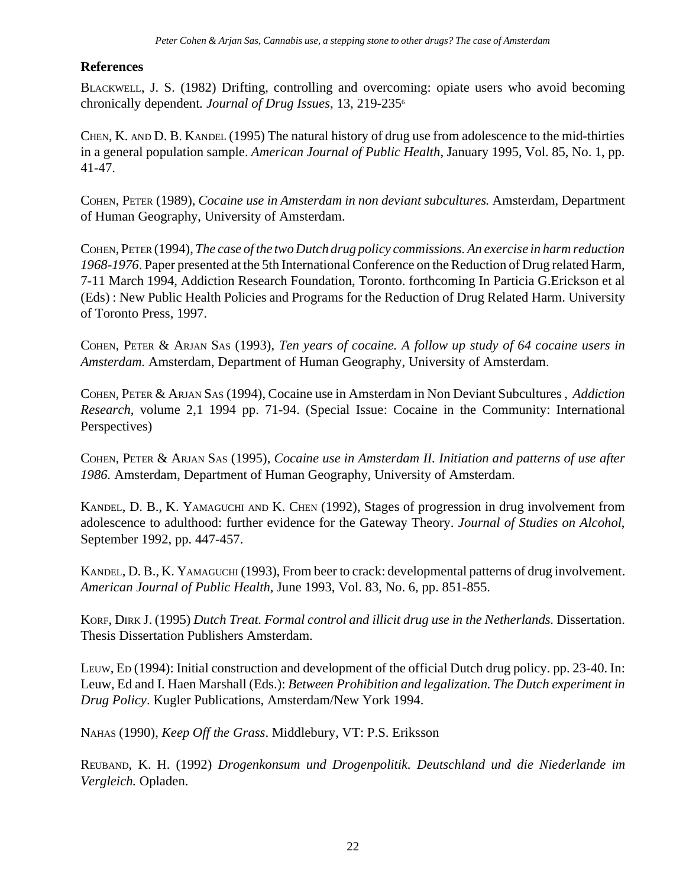# **References**

BLACKWELL, J. S. (1982) Drifting, controlling and overcoming: opiate users who avoid becoming chronically dependent*. Journal of Drug Issues*, 13, 219-2356

CHEN, K. AND D. B. KANDEL (1995) The natural history of drug use from adolescence to the mid-thirties in a general population sample. *American Journal of Public Health*, January 1995, Vol. 85, No. 1, pp. 41-47.

COHEN, PETER (1989), *Cocaine use in Amsterdam in non deviant subcultures.* Amsterdam, Department of Human Geography, University of Amsterdam.

COHEN, PETER (1994), *The case of the two Dutch drug policy commissions. An exercise in harm reduction 1968-1976*. Paper presented at the 5th International Conference on the Reduction of Drug related Harm, 7-11 March 1994, Addiction Research Foundation, Toronto. forthcoming In Particia G.Erickson et al (Eds) : New Public Health Policies and Programs for the Reduction of Drug Related Harm. University of Toronto Press, 1997.

COHEN, PETER & ARJAN SAS (1993), *Ten years of cocaine. A follow up study of 64 cocaine users in Amsterdam.* Amsterdam, Department of Human Geography, University of Amsterdam.

COHEN, PETER & ARJAN SAS (1994), Cocaine use in Amsterdam in Non Deviant Subcultures , *Addiction Research*, volume 2,1 1994 pp. 71-94. (Special Issue: Cocaine in the Community: International Perspectives)

COHEN, PETER & ARJAN SAS (1995), *Cocaine use in Amsterdam II. Initiation and patterns of use after 1986.* Amsterdam, Department of Human Geography, University of Amsterdam.

KANDEL, D. B., K. YAMAGUCHI AND K. CHEN (1992), Stages of progression in drug involvement from adolescence to adulthood: further evidence for the Gateway Theory. *Journal of Studies on Alcohol*, September 1992, pp. 447-457.

KANDEL, D. B., K. YAMAGUCHI (1993), From beer to crack: developmental patterns of drug involvement. *American Journal of Public Health*, June 1993, Vol. 83, No. 6, pp. 851-855.

KORF, DIRK J. (1995) *Dutch Treat. Formal control and illicit drug use in the Netherlands.* Dissertation. Thesis Dissertation Publishers Amsterdam.

LEUW, ED (1994): Initial construction and development of the official Dutch drug policy. pp. 23-40. In: Leuw, Ed and I. Haen Marshall (Eds.): *Between Prohibition and legalization. The Dutch experiment in Drug Policy*. Kugler Publications, Amsterdam/New York 1994.

NAHAS (1990), *Keep Off the Grass*. Middlebury, VT: P.S. Eriksson

REUBAND, K. H. (1992) *Drogenkonsum und Drogenpolitik. Deutschland und die Niederlande im Vergleich.* Opladen.